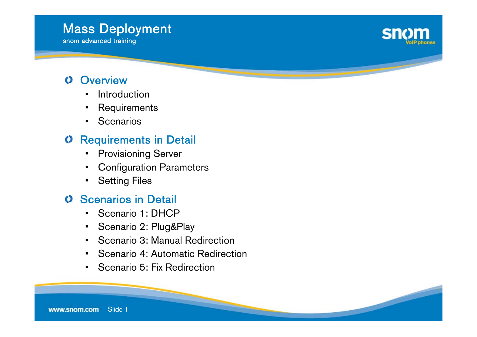#### Slide 1www.snom.com

### **O** Overview

- Introduction
- •Requirements
- •**Scenarios**

### **O** Requirements in Detail

- •Provisioning Server
- Configuration Parameters
- •Setting Files

#### **O** Scenarios in Detail

- •Scenario 1: DHCP
- •Scenario 2: Plug&Play
- •Scenario 3: Manual Redirection
- •Scenario 4: Automatic Redirection
- Scenario 5: Fix Redirection



#### Mass Deployment snom advanced training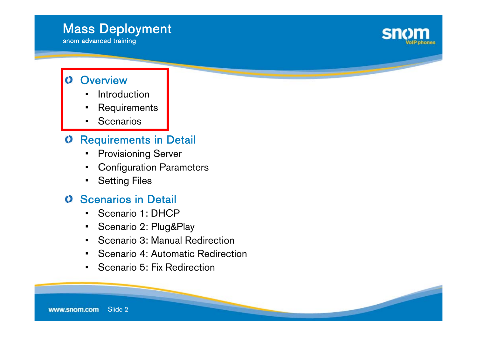### Mass Deployment

snom advanced training



### **Overview**

- Introduction
- •Requirements
- •**Scenarios**

### Requirements in Detail

- •Provisioning Server
- Configuration Parameters
- •Setting Files

### **O** Scenarios in Detail

- •Scenario 1: DHCP
- •Scenario 2: Plug&Play
- •Scenario 3: Manual Redirection
- •Scenario 4: Automatic Redirection
- •Scenario 5: Fix Redirection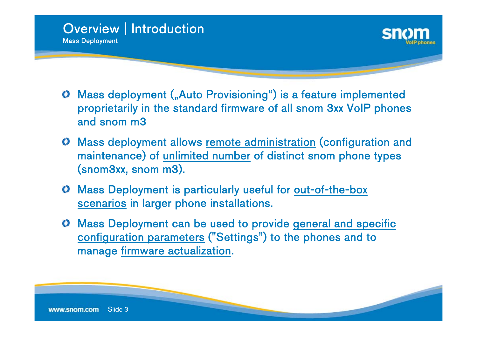



- **C** Mass deployment ("Auto Provisioning") is a feature implemented proprietarily in the standard firmware of all snom 3xx VoIP phones and snom m3
- Mass deployment allows <u>remote administration</u> (configuration and maintenance) of <u>unlimited number</u> of distinct snom phone types (snom3xx, snom m3).
- Mass Deployment is particularly useful for out-of-the-box scenarios in larger phone installations.
- Mass Deployment can be used to provide <u>general and specific</u> configuration parameters ("Settings") to the phones and to manage firmware actualization.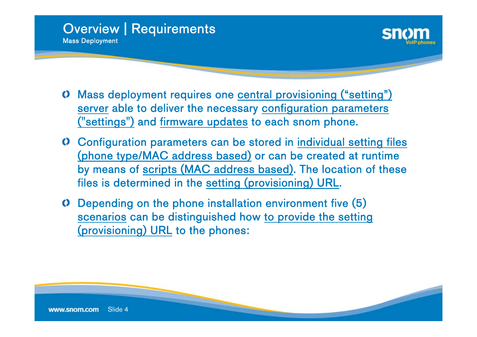



- Mass deployment requires one central provisioning ("setting") server able to deliver the necessary configuration parameters ("settings") and <u>firmware updates</u> to each snom phone.
- Configuration parameters can be stored in individual setting files (phone type/MAC address based) or can be created at runtime by means of <u>scripts (MAC address based)</u>. The location of these files is determined in the setting (provisioning) URL.
- Depending on the phone installation environment five (5) scenarios can be distinguished how to provide the setting (provisioning) URL to the phones: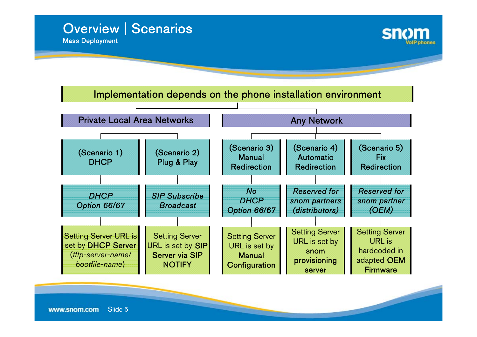



#### Implementation depends on the phone installation environment

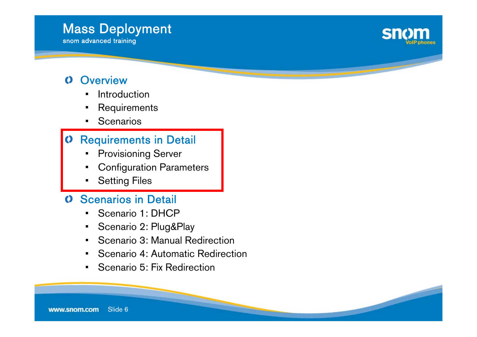#### Slide 6www.snom.com

### **O** Overview

- Introduction
- •Requirements
- •**Scenarios**

#### Requirements in Detail  $\mathbf O$

- •Provisioning Server
- Configuration Parameters
- •Setting Files

### **O** Scenarios in Detail

- •Scenario 1: DHCP
- •Scenario 2: Plug&Play
- •Scenario 3: Manual Redirection
- •Scenario 4: Automatic Redirection
- Scenario 5: Fix Redirection

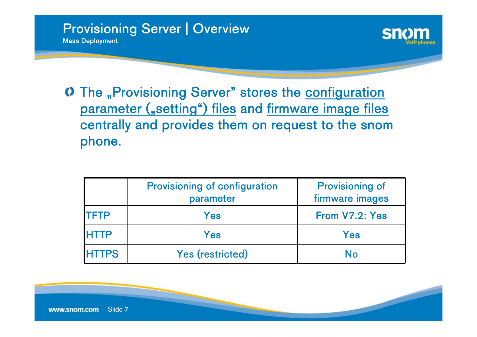

The "Provisioning Server" stores the configuration parameter ("setting") files and firmware image files centrally and provides them on request to the snom phone.

|              | <b>Provisioning of configuration</b><br>parameter | <b>Provisioning of</b><br>firmware images |
|--------------|---------------------------------------------------|-------------------------------------------|
| <b>ITFTP</b> | Yes                                               | From V7.2: Yes                            |
| <b>HTTP</b>  | Yes                                               | Yes                                       |
| <b>HTTPS</b> | <b>Yes (restricted)</b>                           | No                                        |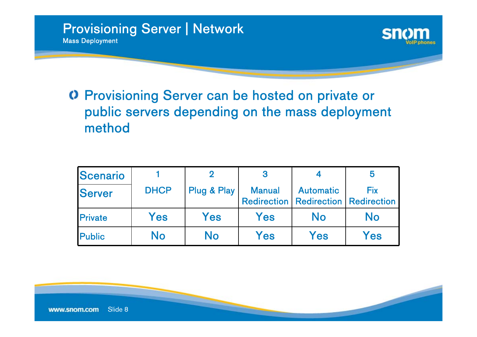

### Provisioning Server can be hosted on private or public servers depending on the mass deployment method

| Scenario       |             |             |               |                  |                                                         |
|----------------|-------------|-------------|---------------|------------------|---------------------------------------------------------|
| <b>Server</b>  | <b>DHCP</b> | Plug & Play | <b>Manual</b> | <b>Automatic</b> | Fix<br><b>Redirection   Redirection   Redirection  </b> |
| <b>Private</b> | Yes         | Yes         | Yes           | No               | No                                                      |
| <b>Public</b>  | No          | No          | Yes           | Yes              | Yes                                                     |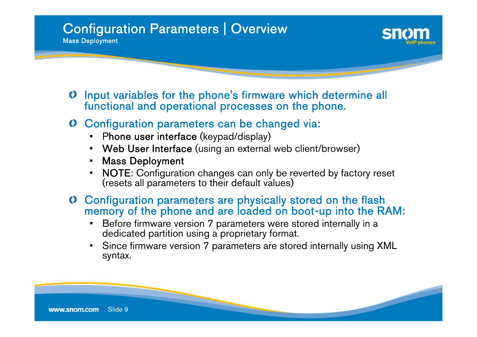- Input variables for the phone's firmware which determine all functional and operational processes on the phone.
- Configuration parameters can be changed via:
	- •**-** Phone user interface (keypad/display)
	- •Web User Interface (using an external web client/browser)
	- Mass Deployment
	- NOTE: Configuration changes can only be reverted by factory reset (resets all parameters to their default values)
- Configuration parameters are physically stored on the flash memory of the phone and are loaded on boot-up into the RAM:
	- Before firmware version 7 parameters were stored internally in a dedicated partition using a proprietary format.
	- Since firmware version 7 parameters are stored internally using XML syntax.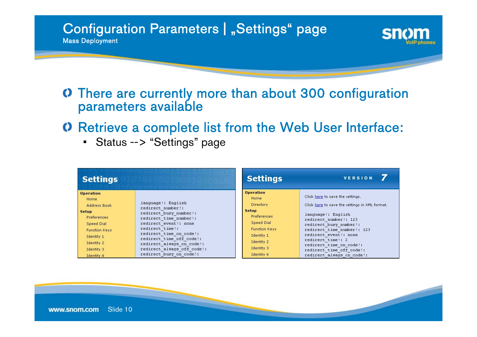#### Configuration Parameters | "Settings" page Mass Deployment



### There are currently more than about 300 configuration parameters available

- Retrieve a complete list from the Web User Interface:
	- Status --> "Settings" page

| <b>Settings</b>      |                                                         | <b>Settings</b>      | VERSION                                             |
|----------------------|---------------------------------------------------------|----------------------|-----------------------------------------------------|
| <b>Operation</b>     |                                                         | <b>Operation</b>     | Click here to save the settings.                    |
| Home                 |                                                         | Home                 |                                                     |
| Address Book         | language!: English<br>redirect number!:                 | Directory            | Click here to save the settings in XML format.      |
| <b>Setup</b>         | redirect busy number!:                                  | <b>Setup</b>         | language!: English                                  |
| Preferences          | redirect time number!:                                  | Preferences          | redirect number!: 123                               |
| Speed Dial           | redirect event!: none                                   | Speed Dial           | redirect busy number!:                              |
| <b>Function Keys</b> | redirect time!:                                         | <b>Function Keys</b> | redirect time number!: 123                          |
| Identity 1           | redirect time on code!:                                 | Identity 1           | redirect event!: none                               |
| Identity 2           | redirect time off code!:                                | Identity 2           | redirect time!: 2                                   |
| Identity 3           | redirect always on code!:<br>redirect always off code!: | Identity 3           | redirect time on code!:<br>redirect time off code!: |
| Identity 4           | redirect busy on code!:                                 | Identity 4           | redirect always on code!:                           |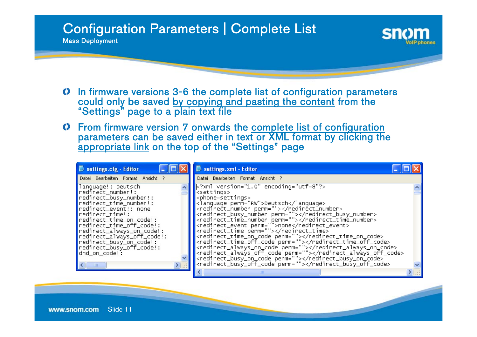### Configuration Parameters | Complete List

- In firmware versions 3-6 the complete list of configuration parameters could only be saved by copying and pasting the content from the "Settings" page to a plain text file
- From firmware version 7 onwards the <u>complete list of configuration</u> parameters can be saved either in text or XML format by clicking the<br>enprepriete link on the tap of the "Settings" pege appropriate link on the top of the "Settings" page

| settings.cfg - Editor                                                                                                                                                                                                                                                                                                                                                 | settings.xml - Editor                                                                                                                                                                                                                                                                                                                                                                                                                                                                                                                                                                                                                                                                                                                             |  |
|-----------------------------------------------------------------------------------------------------------------------------------------------------------------------------------------------------------------------------------------------------------------------------------------------------------------------------------------------------------------------|---------------------------------------------------------------------------------------------------------------------------------------------------------------------------------------------------------------------------------------------------------------------------------------------------------------------------------------------------------------------------------------------------------------------------------------------------------------------------------------------------------------------------------------------------------------------------------------------------------------------------------------------------------------------------------------------------------------------------------------------------|--|
| Datei Bearbeiten Format Ansicht ?                                                                                                                                                                                                                                                                                                                                     | Datei Bearbeiten Format Ansicht ?                                                                                                                                                                                                                                                                                                                                                                                                                                                                                                                                                                                                                                                                                                                 |  |
| language!: Deutsch<br>redirect_number!:<br>redirect_busy_number!:<br>redirect_time_number!:<br>redirect_event!: none<br>redirect_time!:<br>redirect_time_on_code!:<br> redirect_time_off_code!:<br>redirect_always_on_code!:<br> redirect_always_off_code!:<br> redirect_busy_on_code!:<br> redirect_busy_off_code!:<br>dnd_on_code!:<br>$\left  \cdot \right\rangle$ | $k$ ?xml version="1.0" encoding="utf-8"?><br><settings><br/><phone-settings><br/><language perm="RW">Deutsch</language><br/>kredirect_number perm=""&gt;<br/><redirect_busy_number perm=""></redirect_busy_number><br/><redirect_time_number perm=""></redirect_time_number><br/><redirect_event perm="">none</redirect_event><br/><redirect_time perm=""></redirect_time><br/><redirect_time_on_code perm=""></redirect_time_on_code><br/><redirect_time_off_code perm=""></redirect_time_off_code><br/><redirect_always_on_code perm=""></redirect_always_on_code><br/><redirect_always_off_code perm=""></redirect_always_off_code><br/>kredirect_busy_on_code perm=""&gt;<br/>kredirect_busy_off_code perm=""&gt;</phone-settings></settings> |  |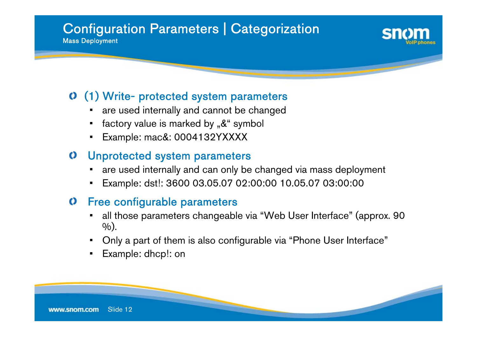## Configuration Parameters | Categorization

Mass Deployment

### (1) Write- protected system parameters

- •are used internally and cannot be changed
- •factory value is marked by  $\mathcal{R}^*$  symbol
- •Example: mac&: 0004132YXXXX

#### Unprotected system parameters  $\mathbf O$

- are used internally and can only be changed via mass deployment
- Example: dst!: 3600 03.05.07 02:00:00 10.05.07 03:00:00

#### Free configurable parameters  $\mathbf O$

- • all those parameters changeable via "Web User Interface" (approx. 90  $\%$ ).
- Only a part of them is also configurable via "Phone User Interface"
- Example: dhcp!: on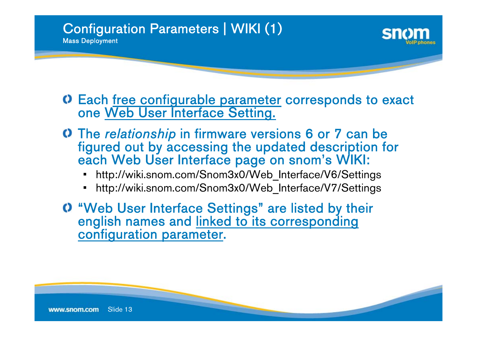#### Configuration Parameters | WIKI (1) Mass Deployment



Each <u>free configurable parameter</u> corresponds to exact<br>one <u>Web User Interface Setting.</u>

- The *relationship* in firmware versions 6 or 7 can be figured out by accessing the updated description for each Web User Interface page on snom's WIKI:
	- •http://wiki.snom.com/Snom3x0/Web\_Interface/V6/Settings
	- •http://wiki.snom.com/Snom3x0/Web\_Interface/V7/Settings
- "Web User Interface Settings" are listed by their english names and linked to its corresponding configuration parameter.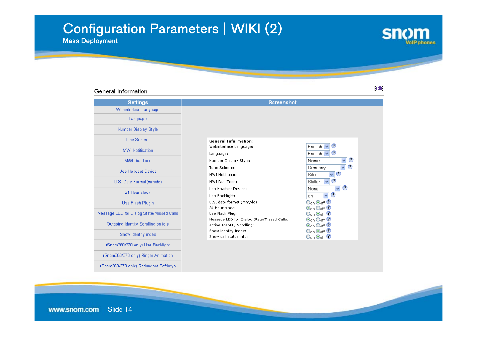## Configuration Parameters | WIKI (2)

Mass Deployment

General Information

#### $[edit]$

**snom** 

**olP** phones

| <b>Settings</b>                           | <b>Screenshot</b>                                  |                                                                           |
|-------------------------------------------|----------------------------------------------------|---------------------------------------------------------------------------|
| Webinterface Language                     |                                                    |                                                                           |
| Language                                  |                                                    |                                                                           |
| Number Display Style                      |                                                    |                                                                           |
| <b>Tone Scheme</b>                        | <b>General Information:</b>                        |                                                                           |
| <b>MWI Notification</b>                   | Webinterface Language:                             | $\circ$<br>English                                                        |
|                                           | Language:                                          | $\circledcirc$<br>English                                                 |
| MWI Dial Tone                             | Number Display Style:                              | $\checkmark$<br>Name                                                      |
| Use Headset Device                        | Tone Scheme:                                       | ⊙<br>Ÿ<br>Germany                                                         |
|                                           | MWT Notification:                                  | $\circ$<br>Silent<br>×                                                    |
| U.S. Date Format(mm/dd)                   | MWI Dial Tone:                                     | $_{\mathbb{O}}$<br>Stutter<br>v                                           |
|                                           | Use Headset Device:                                | $\circ$<br>$\checkmark$<br>None                                           |
| 24 Hour clock                             | Use Backlight:                                     | $\odot$<br>v<br>on.                                                       |
| Use Flash Plugin                          | U.S. date format (mm/dd):                          | Oon Ooff ?                                                                |
|                                           | 24 Hour clock:                                     | $\odot$ on $\odot$ off $\odot$                                            |
| Message LED for Dialog State/Missed Calls | Use Flash Plugin:                                  | $\bigcirc$ on $\bigcirc$ off $\bigcirc$                                   |
| Outgoing Identity Scrolling on idle       | Message LED for Dialog State/Missed Calls:         | $\odot$ on $\odot$ off $\odot$                                            |
|                                           | Active Identity Scrolling:<br>Show identity index: | $\odot$ on $\odot$ off $\odot$                                            |
| Show identity index                       | Show call status info:                             | $\mathsf{O}_\mathsf{on}\mathsf{O}_\mathsf{off}\,\mathbb{O}$<br>Oon ⊙off ⑦ |
|                                           |                                                    |                                                                           |
| (Snom360/370 only) Use Backlight          |                                                    |                                                                           |
| (Snom360/370 only) Ringer Animation       |                                                    |                                                                           |
| (Snom360/370 only) Redundant Softkeys     |                                                    |                                                                           |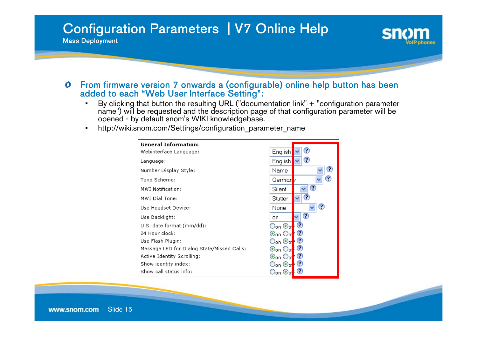#### Configuration Parameters | V7 Online Help Mass Deployment



#### From firmware version 7 onwards a (configurable) online help button has been added to each "Web User Interface Setting":  $\bf{O}$

- By clicking that button the resulting URL ("documentation link" <sup>+</sup>"configuration parameter name") will be requested and the description page of that configuration parameter will be •opened - by default snom's WIKI knowledgebase.
- •http://wiki.snom.com/Settings/configuration\_parameter\_name

| <b>General Information:</b>                |                                                                   |
|--------------------------------------------|-------------------------------------------------------------------|
| Webinterface Language:                     | O<br>English                                                      |
| Language:                                  | ⊙<br>English                                                      |
| Number Display Style:                      | O<br>Name                                                         |
| Tone Scheme:                               | ⊙<br>Germarl                                                      |
| MWI Notification:                          | ⊙<br>Silent                                                       |
| MWI Dial Tone:                             | O<br>Stutter                                                      |
| Use Headset Device:                        | O<br>None                                                         |
| Use Backlight:                             | O<br>v<br>on                                                      |
| U.S. date format (mm/dd):                  | O<br>$\mathsf{O}_\mathsf{on} \, \mathsf{\Theta}_\mathsf{of}$      |
| 24 Hour clock:                             | $_{\bigodot}$<br>®on Ool                                          |
| Use Flash Plugin:                          | $\bigcirc$<br>Oon ®ol                                             |
| Message LED for Dialog State/Missed Calls: | O<br>$\odot$ on $\odot$ ol                                        |
| Active Identity Scrolling:                 | I O<br>ton Ool                                                    |
| Show identity index:                       | $\bullet$<br>$\mathbb{O}_{\mathrm{on}}\,\mathbb{O}_{\mathrm{ol}}$ |
| Show call status info:                     | O<br>⊃on ⊙o                                                       |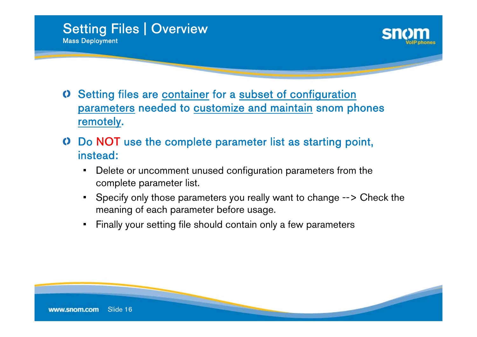



- Setting files are container for a subset of configuration parameters needed to customize and maintain snom phones remotely.
- Do NOT use the complete parameter list as starting point, instead:
	- • Delete or uncomment unused configuration parameters from the complete parameter list.
	- Specify only those parameters you really want to change --> Check the meaning of each parameter before usage.
	- •Finally your setting file should contain only a few parameters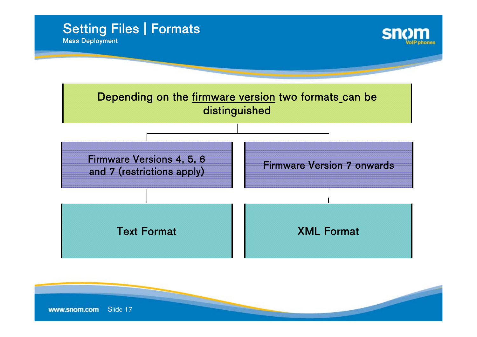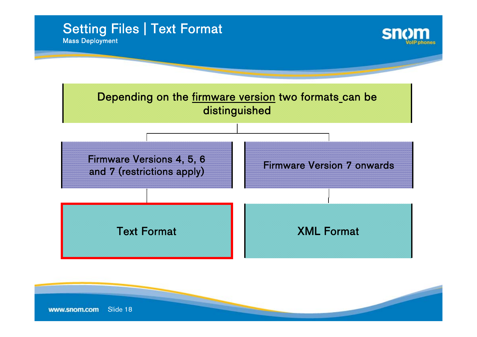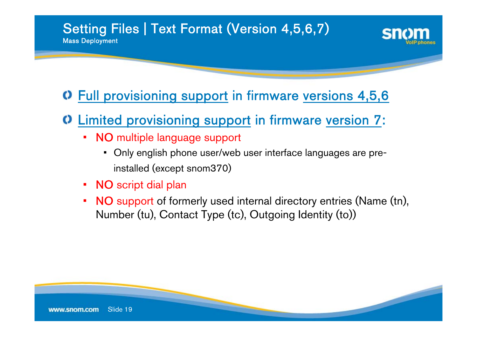#### Setting Files | Text Format (Version 4,5,6,7) Mass Deployment

Full provisioning support in firmware versions 4,5,6

### Limited provisioning support in firmware version 7:

- NO multiple language support
	- Only english phone user/web user interface languages are preinstalled (except snom370)
- NO script dial plan
- NO support of formerly used internal directory entries (Name (tn), Number (tu), Contact Type (tc), Outgoing Identity (to))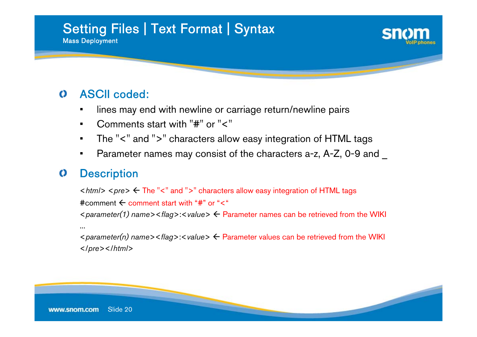#### Setting Files | Text Format | Syntax Mass Deployment



#### ASCII coded:  $\bf O$

- lines may end with newline or carriage return/newline pairs
- •Comments start with "#" or "<"
- •The "<" and ">" characters allow easy integration of HTML tags
- •Parameter names may consist of the characters a-z, A-Z, 0-9 and

#### **Description**  $\bf O$

<sup>&</sup>lt;*html*> <*pre*> Å The "<" and ">" characters allow easy integration of HTML tags #comment  $\leftarrow$  comment start with "#" or "<" <sup>&</sup>lt;*parameter(1) name*><*flag*>:<*value*> Å Parameter names can be retrieved from the WIKI ...<sup>&</sup>lt;*parameter(n) name*><*flag*>:<*value*> Å Parameter values can be retrieved from the WIKI </*pre*></*html*<sup>&</sup>gt;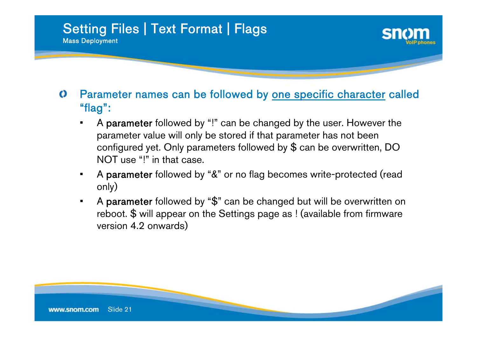

- $\bf O$ Parameter names can be followed by <u>one specific character</u> called "flag":
	- A parameter followed by "!" can be changed by the user. However the parameter value will only be stored if that parameter has not been configured yet. Only parameters followed by \$ can be overwritten, DO NOT use "!" in that case.
	- • A parameter followed by "&" or no flag becomes write-protected (read only)
	- • A parameter followed by "\$" can be changed but will be overwritten on reboot. \$ will appear on the Settings page as ! (available from firmware version 4.2 onwards)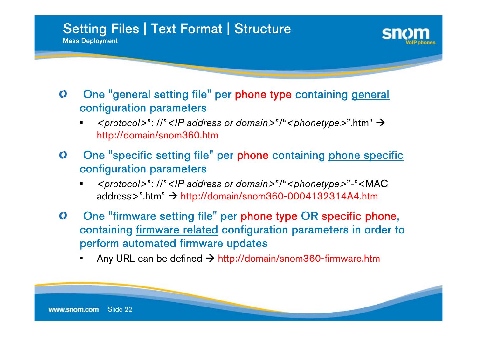

- $\bf O$ One "general setting file" per phone type containing general configuration parameters
	- <*protocol>": //"* <*IP* address or domain>"/" <*phonetype>"*.htm" → http://domain/snom360.htm
- $\bf{O}$ One "specific setting file" per phone containing phone specific configuration parameters
	- • *<protocol>*": //"*<IP address or domain>*"/"*<phonetype>*"-"<MAC address>".htm" → http://domain/snom360-0004132314A4.htm
- $\bf{O}$ One "firmware setting file" per phone type OR specific phone, containing <u>firmware related</u> configuration parameters in order to perform automated firmware updates
	- Any URL can be defined  $\rightarrow$  http://domain/snom360-firmware.htm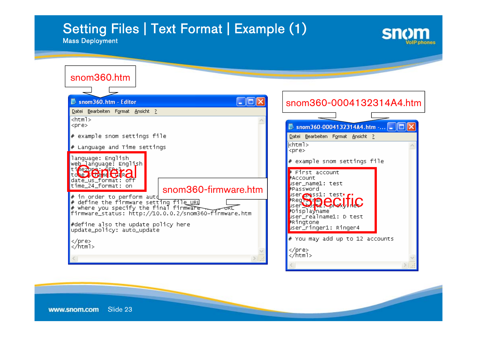## Setting Files | Text Format | Example (1)



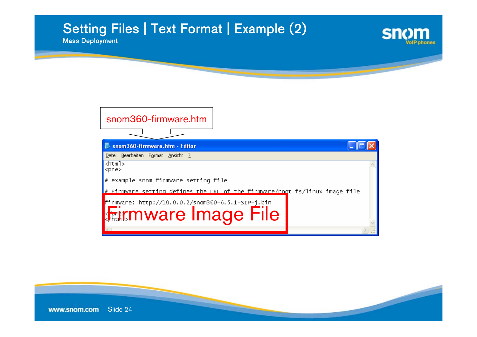### Setting Files | Text Format | Example (2)

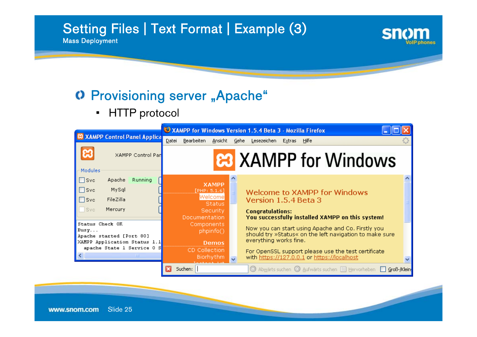### Setting Files | Text Format | Example (3)

Mass Deployment

### O Provisioning server "Apache"

•HTTP protocol

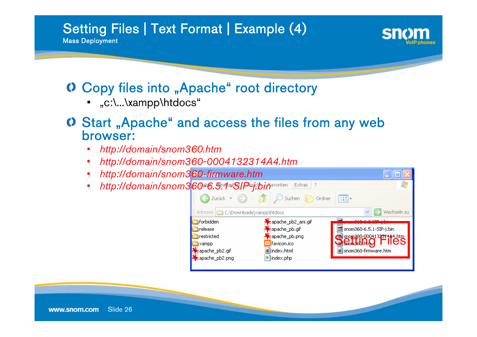## Setting Files | Text Format | Example (4)





### Copy files into "Apache" root directory

- "c:\...\xampp\htdocs"
- Start "Apache" and access the files from any web browser:
	- •*http://domain/snom360.htm*
	- •*http://domain/snom360-0004132314A4.htm*
	- •*http://domain/snom360-firmware.htm*
	- •http://domain/snom360<sup>a6</sup>.5.1-SIP<sup>n</sup>j.bin<sub>avoriten</sub> Extras ?

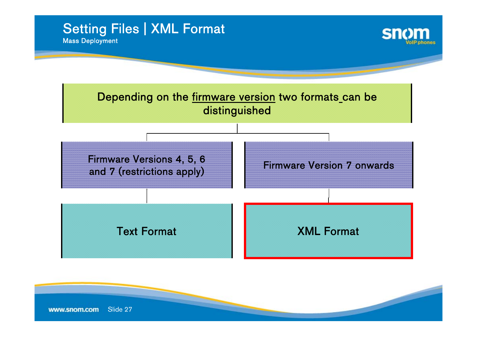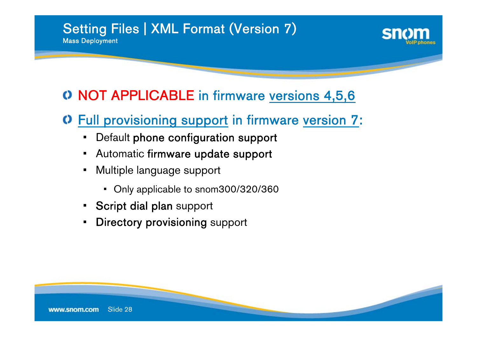# Setting Files | XML Format (Version 7)



### NOT APPLICABLE in firmware versions 4,5,6

## Full provisioning support in firmware version 7:

- Default phone configuration support •
- Automatic firmware update support
- • Multiple language suppor<sup>t</sup>
	- Only applicable to snom300/320/360
- Script dial plan support
- Directory provisioning support •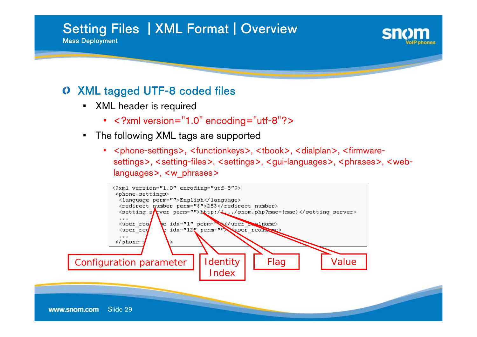#### Setting Files | XML Format | Overview Mass Deployment



### XML tagged UTF-8 coded files

- XML header is required
	- <?xml version="1.0" encoding="utf-8"?>
- The following XML tags are supported
	- • <phone-settings>, <functionkeys>, <tbook>, <dialplan>, <firmwaresettings>, <setting-files>, <settings>, <gui-languages>, <phrases>, <weblanguages>, <w\_phrases>

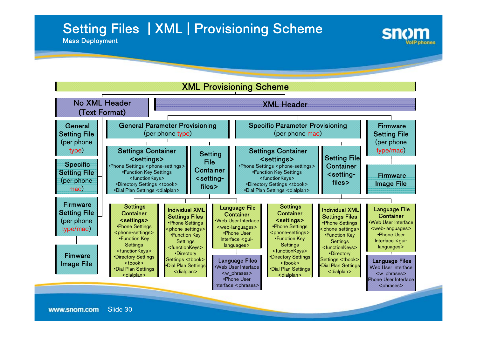## Setting Files | XML | Provisioning Scheme



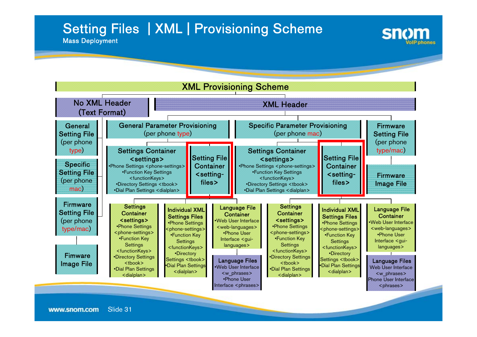## Setting Files | XML | Provisioning Scheme



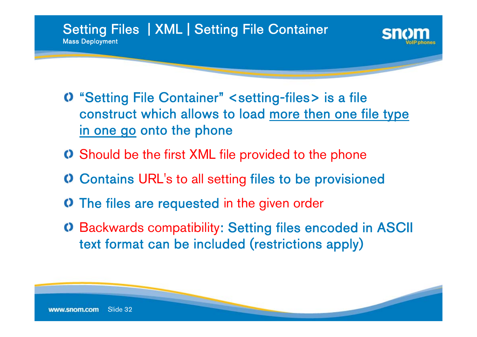

- "Setting File Container" <setting-files> is a file construct which allows to load more then one file type in one go onto the phone
- Should be the first XML file provided to the phone
- Contains URL's to all setting files to be provisioned
- The files are requested in the given order
- Backwards compatibility: Setting files encoded in ASCII text format can be included (restrictions apply)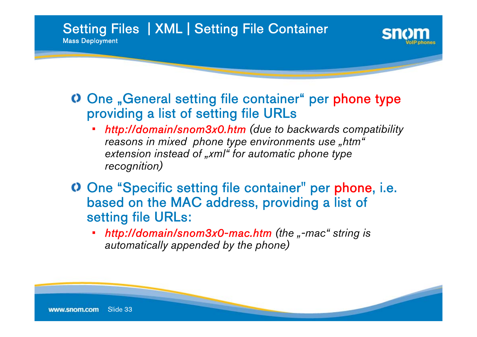Setting Files | XML | Setting File Container Mass Deployment

### One "General setting file container" per phone type providing a list of setting file URLs

- • *http://domain/snom3x0.htm (due to backwards compatibility reasons in mixed phone type environments use "htm" extension instead of "xml" for automatic phone type recognition)*
- One "Specific setting file container" per phone, i.e. based on the MAC address, providing a list of setting file URLs:
	- •*http://domain/snom3x0-mac.htm (the "-mac" string is automatically appended by the phone)*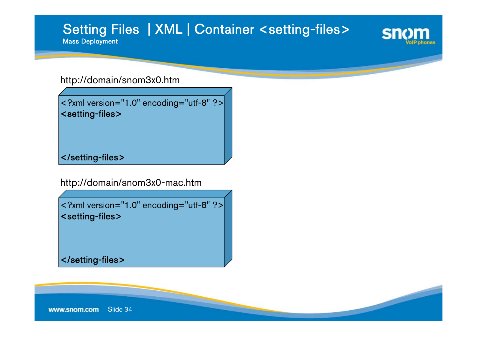#### Setting Files | XML | Container <setting-files> Mass Deployment



#### http://domain/snom3x0.htm

```
<?xml version="1.0" encoding="utf-8" ?>
<setting-files>
```
</setting-files>

http://domain/snom3x0-mac.htm

<?xml version="1.0" encoding="utf-8" ?> <setting-files>

</setting-files>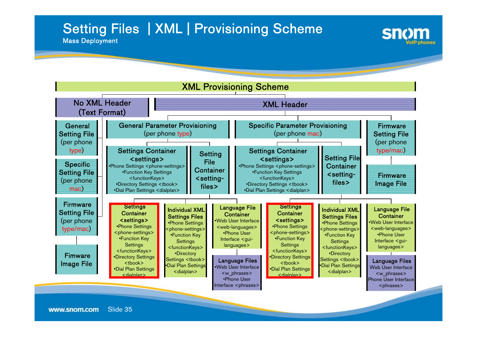## Setting Files | XML | Provisioning Scheme



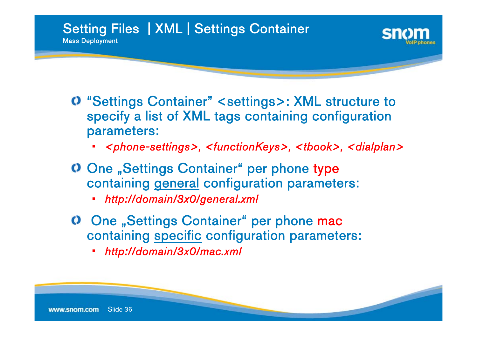

- "Settings Container" <settings>: XML structure to specify a list of XML tags containing configuration parameters:
	- •*<phone-settings>, <functionKeys>, <tbook>, <dialplan>*
- One "Settings Container" per phone type containing general configuration parameters:
	- *http://domain/3x0/general.xml* •
- One "Settings Container" per phone mac containing specific configuration parameters:
	- *http://domain/3x0/mac.xml*•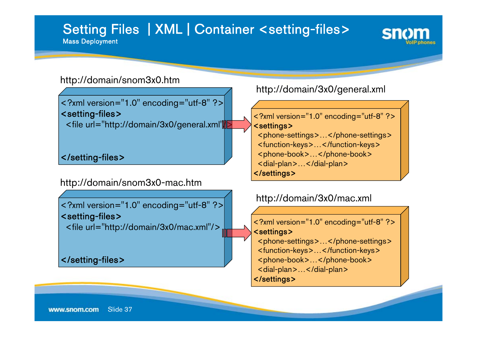### Setting Files | XML | Container <setting-files> Mass Deployment



#### http://domain/snom3x0.htm

<?xml version="1.0" encoding="utf-8" ?> <setting-files>

<file url="http://domain/3x0/general.xml"/>

</setting-files>

http://domain/snom3x0-mac.htm

<?xml version="1.0" encoding="utf-8" ?> <setting-files> <file url="http://domain/3x0/mac.xml"/>

</setting-files>

http://domain/3x0/general.xml

<?xml version="1.0" encoding="utf-8" ?> <settings> <phone-settings>…</phone-settings> <function-keys>…</function-keys> <phone-book>…</phone-book> <dial-plan>...</dial-plan> </settings>

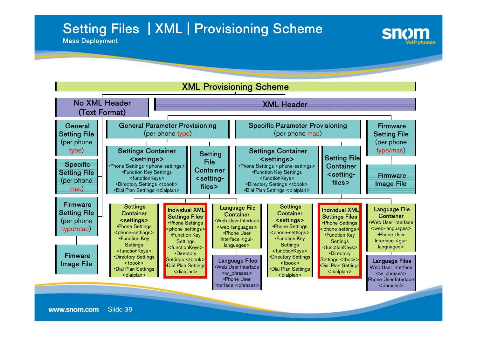## Setting Files | XML | Provisioning Scheme



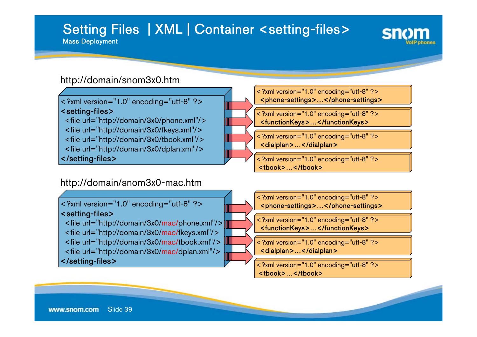### Setting Files | XML | Container <setting-files> Mass Deployment



#### http://domain/snom3x0.htm

<?xml version="1.0" encoding="utf-8" ?> <setting-files>

<file url="http://domain/3x0/phone.xml"/> <file url="http://domain/3x0/fkeys.xml"/> <file url="http://domain/3x0/tbook.xml"/> <file url="http://domain/3x0/dplan.xml"/> </setting-files>

#### http://domain/snom3x0-mac.htm

<?xml version="1.0" encoding="utf-8" ?> <setting-files>

<file url="http://domain/3x0/mac/phone.xml"/> <file url="http://domain/3x0/mac/fkeys.xml"/> <file url="http://domain/3x0/mac/tbook.xml"/> <file url="http://domain/3x0/mac/dplan.xml"/> </setting-files>

<?xml version="1.0" encoding="utf-8" ?> <phone-settings>…</phone-settings> <?xml version="1.0" encoding="utf-8" ?> <functionKeys>…</functionKeys> <?xml version="1.0" encoding="utf-8" ?> <dialplan>...</dialplan>

> <?xml version="1.0" encoding="utf-8" ?> <tbook>…</tbook>

<?xml version="1.0" encoding="utf-8" ?> <phone-settings>…</phone-settings>

<?xml version="1.0" encoding="utf-8" ?> <functionKeys>…</functionKeys>

<?xml version="1.0" encoding="utf-8" ?> <dialplan>…</dialplan>

<?xml version="1.0" encoding="utf-8" ?> <tbook>…</tbook>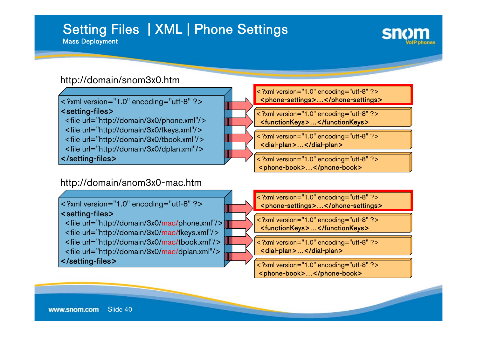## Setting Files | XML | Phone Settings

Mass Deployment



#### http://domain/snom3x0.htm

<?xml version="1.0" encoding="utf-8" ?> <setting-files>

<file url="http://domain/3x0/phone.xml"/> <file url="http://domain/3x0/fkeys.xml"/> <file url="http://domain/3x0/tbook.xml"/> <file url="http://domain/3x0/dplan.xml"/> </setting-files>

#### http://domain/snom3x0-mac.htm

<?xml version="1.0" encoding="utf-8" ?> <setting-files>

<file url="http://domain/3x0/mac/phone.xml"/> <file url="http://domain/3x0/mac/fkeys.xml"/> <file url="http://domain/3x0/mac/tbook.xml"/> <file url="http://domain/3x0/mac/dplan.xml"/> </setting-files>

<?xml version="1.0" encoding="utf-8" ?> <phone-settings>...</phone-settings> <?xml version="1.0" encoding="utf-8" ?>

<functionKeys>…</functionKeys>

<?xml version="1.0" encoding="utf-8" ?> <dial-plan>…</dial-plan>

<?xml version="1.0" encoding="utf-8" ?> <phone-book>…</phone-book>

<?xml version="1.0" encoding="utf-8" ?> <phone-settings>...</phone-settings>

<?xml version="1.0" encoding="utf-8" ?> <functionKeys>…</functionKeys>

<?xml version="1.0" encoding="utf-8" ?> <dial-plan>…</dial-plan>

<?xml version="1.0" encoding="utf-8" ?> <phone-book>…</phone-book>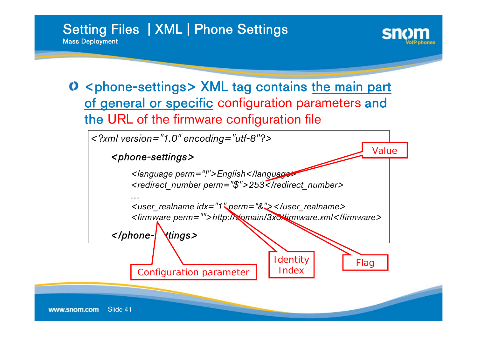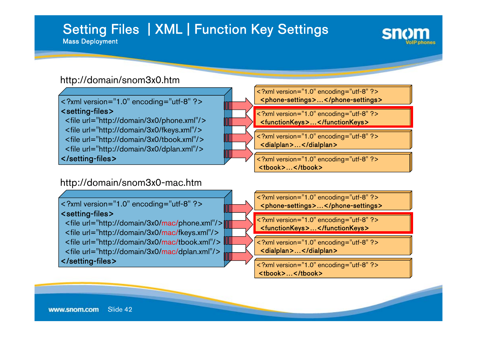# Setting Files | XML | Function Key Settings

Mass Deployment



#### http://domain/snom3x0.htm

<?xml version="1.0" encoding="utf-8" ?> <setting-files>

<file url="http://domain/3x0/phone.xml"/> <file url="http://domain/3x0/fkeys.xml"/> <file url="http://domain/3x0/tbook.xml"/> <file url="http://domain/3x0/dplan.xml"/> </setting-files>

#### http://domain/snom3x0-mac.htm

<?xml version="1.0" encoding="utf-8" ?> <setting-files>

<file url="http://domain/3x0/mac/phone.xml"/> <file url="http://domain/3x0/mac/fkeys.xml"/> <file url="http://domain/3x0/mac/tbook.xml"/> <file url="http://domain/3x0/mac/dplan.xml"/> </setting-files>

<?xml version="1.0" encoding="utf-8" ?> <phone-settings>…</phone-settings> <?xml version="1.0" encoding="utf-8" ?> <functionKeys>…</functionKeys> <?xml version="1.0" encoding="utf-8" ?>

<dialplan>…</dialplan>

<?xml version="1.0" encoding="utf-8" ?> <tbook>…</tbook>

<?xml version="1.0" encoding="utf-8" ?> <phone-settings>…</phone-settings>

<?xml version="1.0" encoding="utf-8" ?> <functionKeys>…</functionKeys>

<?xml version="1.0" encoding="utf-8" ?> <dialplan>…</dialplan>

<?xml version="1.0" encoding="utf-8" ?> <tbook>…</tbook>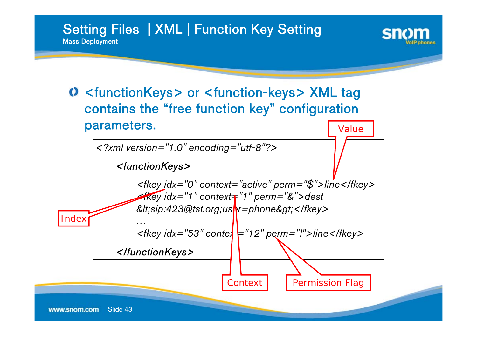Setting Files | XML | Function Key Setting Mass Deployment



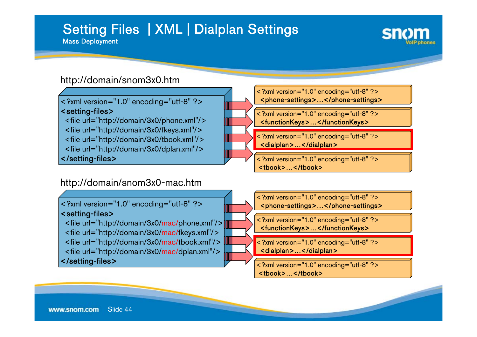# Setting Files | XML | Dialplan Settings

Mass Deployment



#### http://domain/snom3x0.htm

<?xml version="1.0" encoding="utf-8" ?> <setting-files>

<file url="http://domain/3x0/phone.xml"/> <file url="http://domain/3x0/fkeys.xml"/> <file url="http://domain/3x0/tbook.xml"/> <file url="http://domain/3x0/dplan.xml"/> </setting-files>

#### http://domain/snom3x0-mac.htm

<?xml version="1.0" encoding="utf-8" ?> <setting-files>

<file url="http://domain/3x0/mac/phone.xml"/> <file url="http://domain/3x0/mac/fkeys.xml"/> <file url="http://domain/3x0/mac/tbook.xml"/> <file url="http://domain/3x0/mac/dplan.xml"/> </setting-files>



<dialplan>…</dialplan>

<?xml version="1.0" encoding="utf-8" ?> <tbook>…</tbook>

<?xml version="1.0" encoding="utf-8" ?> <phone-settings>…</phone-settings>

<?xml version="1.0" encoding="utf-8" ?> <functionKeys>…</functionKeys>

<?xml version="1.0" encoding="utf-8" ?> <dialplan>…</dialplan>

<?xml version="1.0" encoding="utf-8" ?> <tbook>…</tbook>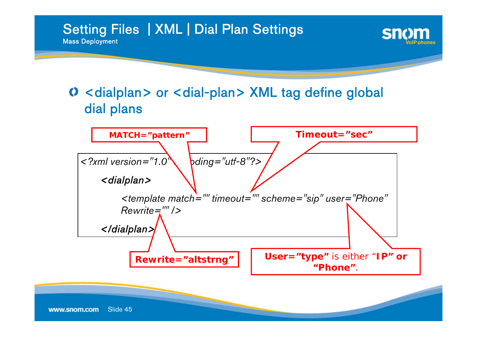

## O <dialplan> or <dial-plan> XML tag define global dial plans

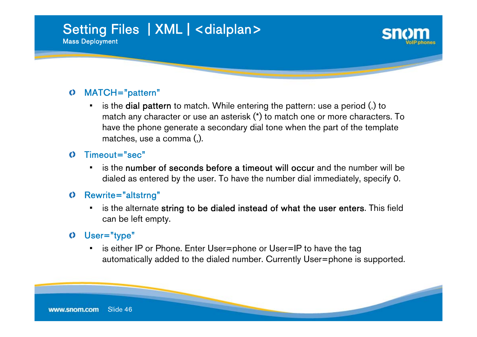# Setting Files | XML | <dialplan> Mass Deployment

#### MATCH="pattern" O

• is the dial pattern to match. While entering the pattern: use a period (.) to have the phone generate a secondary dial tone when the part of the template match any character or use an asterisk (\*) to match one or more characters. To matches, use a comma (,).

#### $\mathbf O$ Timeout="sec"

• is the number of seconds before a timeout will occur and the number will be dialed as entered by the user. To have the number dial immediately, specify 0.

#### Rewrite="altstrng"  $\bf{O}$

 is the alternate string to be dialed instead of what the user enters. This field can be left empty.

#### User="type"  $\bf{O}$

 is either IP or Phone. Enter User=phone or User=IP to have the tag automatically added to the dialed number. Currently User=phone is supported.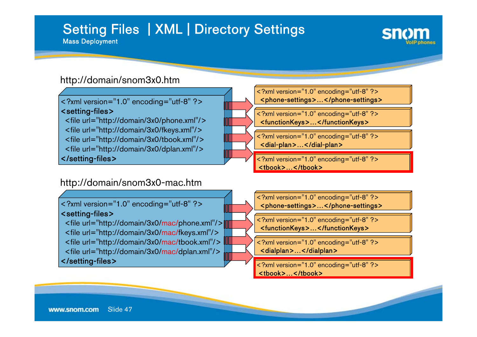# Setting Files | XML | Directory Settings

Mass Deployment



#### http://domain/snom3x0.htm

<?xml version="1.0" encoding="utf-8" ?> <setting-files>

<file url="http://domain/3x0/phone.xml"/> <file url="http://domain/3x0/fkeys.xml"/> <file url="http://domain/3x0/tbook.xml"/> <file url="http://domain/3x0/dplan.xml"/> </setting-files>

#### http://domain/snom3x0-mac.htm

<?xml version="1.0" encoding="utf-8" ?> <setting-files>

<file url="http://domain/3x0/mac/phone.xml"/> <file url="http://domain/3x0/mac/fkeys.xml"/> <file url="http://domain/3x0/mac/tbook.xml"/> <file url="http://domain/3x0/mac/dplan.xml"/> </setting-files>

<?xml version="1.0" encoding="utf-8" ?> <phone-settings>…</phone-settings>

<?xml version="1.0" encoding="utf-8" ?> <functionKeys>…</functionKeys>

<?xml version="1.0" encoding="utf-8" ?> <dial-plan>…</dial-plan>

<?xml version="1.0" encoding="utf-8" ?> <tbook>…</tbook>

<?xml version="1.0" encoding="utf-8" ?> <phone-settings>…</phone-settings>

<?xml version="1.0" encoding="utf-8" ?> <functionKeys>…</functionKeys>

<?xml version="1.0" encoding="utf-8" ?> <dialplan>…</dialplan>

<?xml version="1.0" encoding="utf-8" ?> <tbook>…</tbook>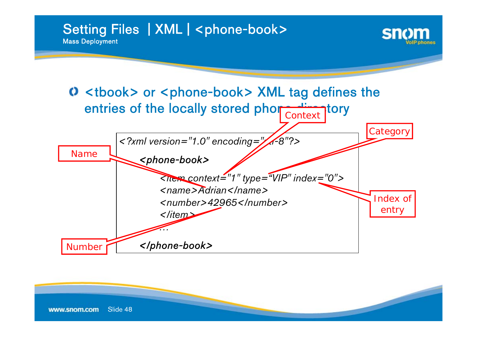Setting Files | XML | <phone-book> Mass Deployment



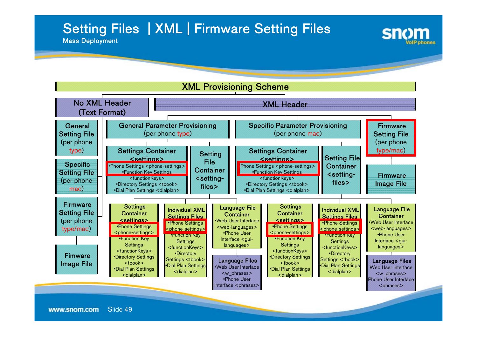## Setting Files | XML | Firmware Setting Files



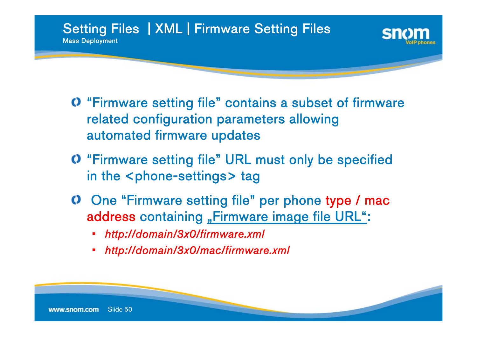

- "Firmware setting file" contains a subset of firmware related configuration parameters allowing automated firmware updates
- "Firmware setting file" URL must only be specified in the <code><phone-settings></code> tag
- One "Firmware setting file" per phone type / mac address containing <u>"Firmware image file URL"</u>:
	- *http://domain/3x0/firmware.xml*
	- •*http://domain/3x0/mac/firmware.xml*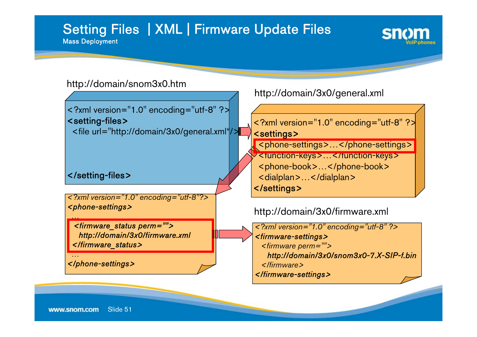### Setting Files | XML | Firmware Update Files Mass Deployment



#### http://domain/snom3x0.htm

<?xml version="1.0" encoding="utf-8" ?> <setting-files> <file url="http://domain/3x0/general.xml"/>

</setting-files>

*…*

*…*

*<?xml version="1.0" encoding="utf-8"?> <phone-settings>*

*<firmware\_status perm=""> http://domain/3x0/firmware.xml </firmware\_status>*

*</phone-settings>*

http://domain/3x0/general.xml

<?xml version="1.0" encoding="utf-8" ?> <settings>

<phone-settings>…</phone-settings>

<function-keys>…</function-keys> <phone-book>...</phone-book> <dialplan>…</dialplan> </settings>

http://domain/3x0/firmware.xml

*<?xml version="1.0" encoding="utf-8" ?> <firmware-settings> <firmware perm=""> http://domain/3x0/snom3x0-7.X-SIP-f.bin </firmware></firmware-settings>*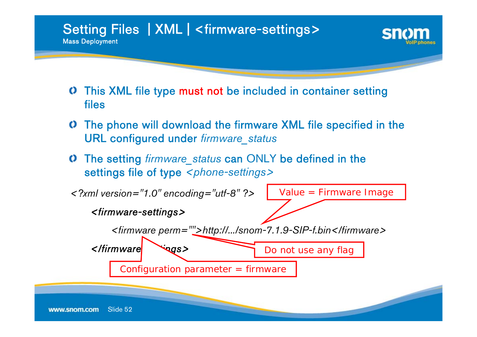Setting Files | XML | <firmware-settings> Mass Deployment

- This XML file type must not be included in container setting files
- The phone will download the firmware XML file specified in the O URL configured under *firmware\_status*
- The setting *firmware\_status* can ONLY be defined in the settings file of type <phone-settings>

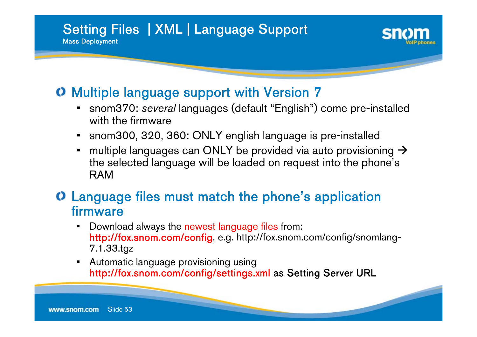### Setting Files | XML | Language Support Mass Deployment



## O Multiple language support with Version 7

- • snom370: *several* languages (default "English") come pre-installed with the firmware
- snom300, 320, 360: ONLY english language is pre-installed
- •multiple languages can ONLY be provided via auto provisioning  $\rightarrow$ the selected language will be loaded on request into the phone's RAM

## Language files must match the phone's application firmware

- • Download always the newest language files from: http://fox.snom.com/config, e.g. http://fox.snom.com/config/snomlang-7.1.33.tgz
- • Automatic language provisioning using http://fox.snom.com/config/settings.xml as Setting Server URL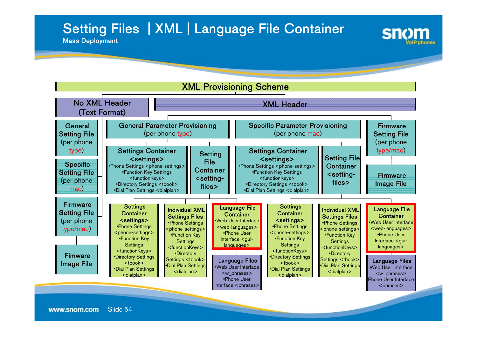## Setting Files | XML | Language File Container



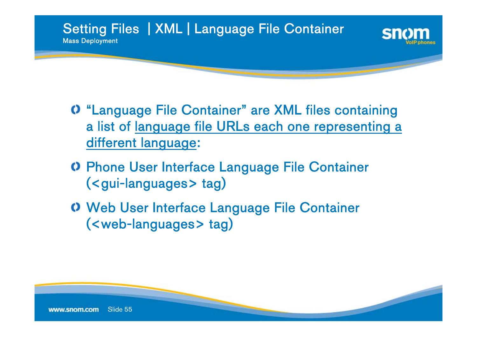

- "Language File Container" are XML files containing a list of <u>language file URLs each one representing a</u> different language:
- Phone User Interface Language File Container (<gui-languages> tag)
- Web User Interface Language File Container (<web-languages> tag)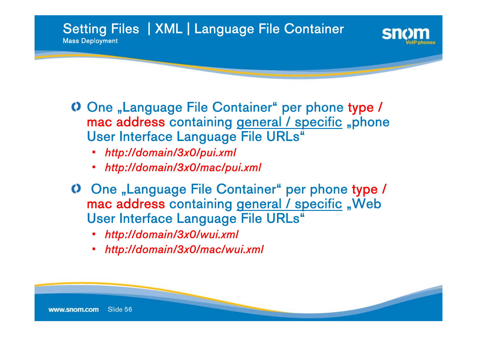Setting Files | XML | Language File Container Mass Deployment

- One "Language File Container" per phone type / mac address containing <u>general / specific</u> "phone User Interface Language File URLs"
	- *http://domain/3x0/pui.xml*
	- •*http://domain/3x0/mac/pui.xml*
	- One "Language File Container" per phone type / mac address containing <u>general / specific</u> "Web User Interface Language File URLs"
		- *http://domain/3x0/wui.xml*
		- •*http://domain/3x0/mac/wui.xml*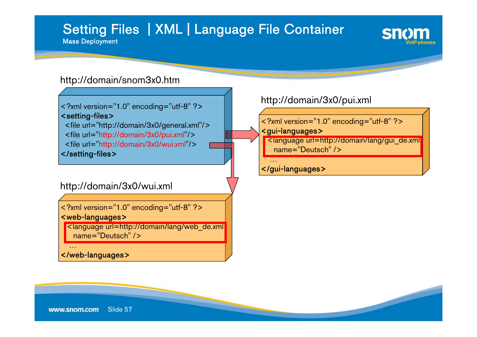# Setting Files | XML | Language File Container

Mass Deployment



#### http://domain/snom3x0.htm

<?xml version="1.0" encoding="utf-8" ?> <setting-files> <file url="http://domain/3x0/general.xml"/> <file url="http://domain/3x0/pui.xml"/>

<file url="http://domain/3x0/wui.xml"/>

</setting-files>

#### http://domain/3x0/wui.xml

<?xml version="1.0" encoding="utf-8" ?> <web-languages>

<language url=http://domain/lang/web\_de.xml name="Deutsch" />

</web-languages>

…

#### http://domain/3x0/pui.xml

<?xml version="1.0" encoding="utf-8" ?> <gui-languages>

<language url=http://domain/lang/gui\_de.xml name="Deutsch" />

#### </gui-languages>

…

Slide 57www.snom.com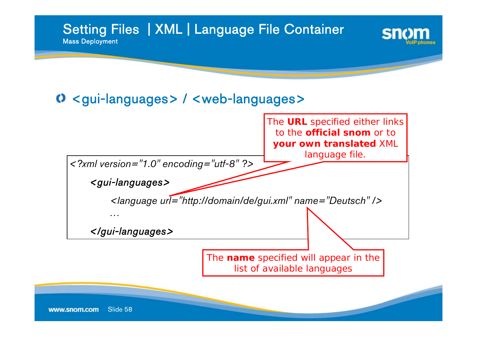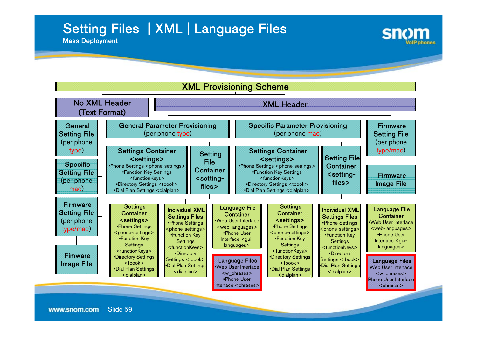## Setting Files | XML | Language Files



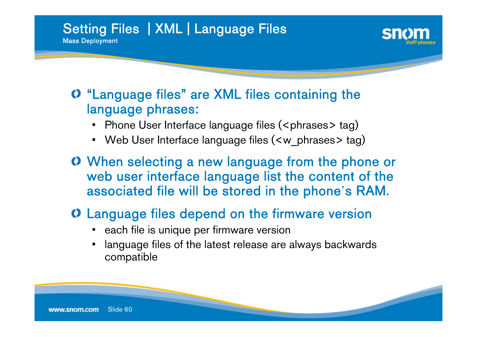Setting Files | XML | Language Files Mass Deployment



### "Language files" are XML files containing the language phrases:

- •Phone User Interface language files (<phrases> tag)
- Web User Interface language files (<w\_phrases> tag)
- When selecting a new language from the phone or web user interface language list the content of the associated file will be stored in the phone´s RAM.

## Language files depend on the firmware version

- each file is unique per firmware version
- • language files of the latest release are always backwards compatible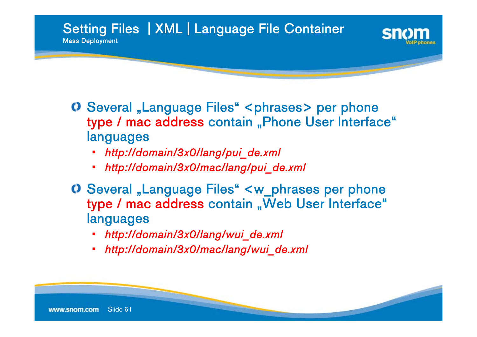Setting Files | XML | Language File Container Mass Deployment

- Several "Language Files" <phrases> per phone type / mac address contain "Phone User Interface" languages
	- •*http://domain/3x0/lang/pui\_de.xml*
	- •*http://domain/3x0/mac/lang/pui\_de.xml*
- Several "Language Files" <w\_phrases per phone type / mac address contain "Web User Interface" languages
	- •*http://domain/3x0/lang/wui\_de.xml*
	- •*http://domain/3x0/mac/lang/wui\_de.xml*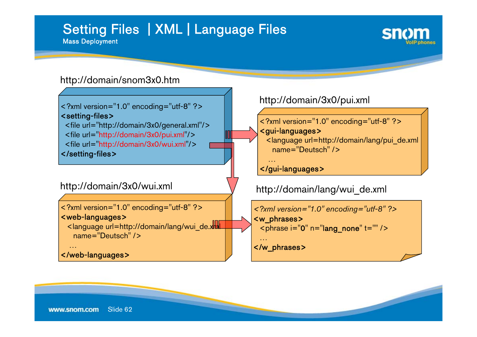#### Setting Files | XML | Language Files Mass Deployment



#### http://domain/snom3x0.htm

<?xml version="1.0" encoding="utf-8" ?> <setting-files> <file url="http://domain/3x0/general.xml"/> <file url="http://domain/3x0/pui.xml"/> <file url="http://domain/3x0/wui.xml"/>

</setting-files>

#### http://domain/3x0/wui.xml

<?xml version="1.0" encoding="utf-8" ?> <web-languages> <language url=http://domain/lang/wui\_de.xml

name="Deutsch" />

```
</web-languages>
```
…

#### http://domain/3x0/pui.xml

<?xml version="1.0" encoding="utf-8" ?> <gui-languages> <language url=http://domain/lang/pui\_de.xml name="Deutsch" />

#### </gui-languages>

…

http://domain/lang/wui\_de.xml

```
<?xml version="1.0" encoding="utf-8" ?>
<w_phrases>
 \epsilon <phrase i="0" n="lang_none" t="" />
  …</w_phrases>
```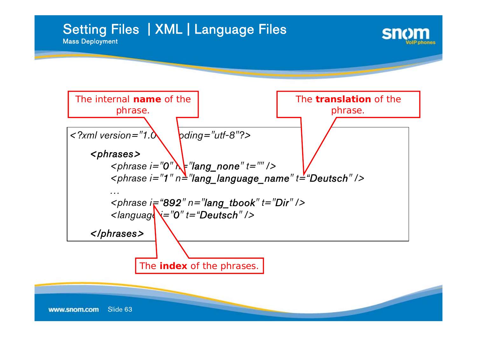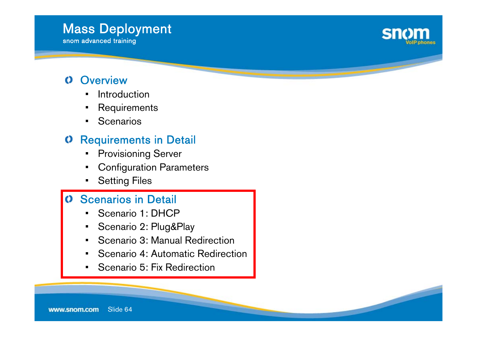#### Slide 64www.snom.com

### **O** Overview

- Introduction
- •Requirements
- •**Scenarios**

### **O** Requirements in Detail

- •Provisioning Server
- Configuration Parameters
- •Setting Files

### Scenarios in Detail

- •Scenario 1: DHCP
- •Scenario 2: Plug&Play
- •Scenario 3: Manual Redirection
- •Scenario 4: Automatic Redirection
- •Scenario 5: Fix Redirection



# Mass Deployment

snom advanced training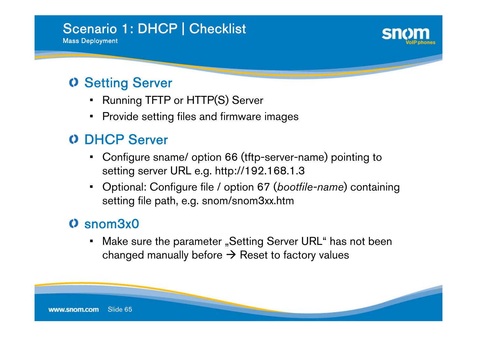

## Setting Server

- **-** Running TFTP or HTTP(S) Server •
- • $\textcolor{red}{\bullet}$  Provide setting files and firmware images

## O DHCP Server

- • Configure sname/ option 66 (tftp-server-name) pointing to setting server URL e.g. http://192.168.1.3
- • Optional: Configure file / option 67 (*bootfile-name*) containing setting file path, e.g. snom/snom3xx.htm

## snom3x0

• $\hspace{0.1mm}$  - Make sure the parameter "Setting Server URL" has not been changed manually before  $\rightarrow$  Reset to factory values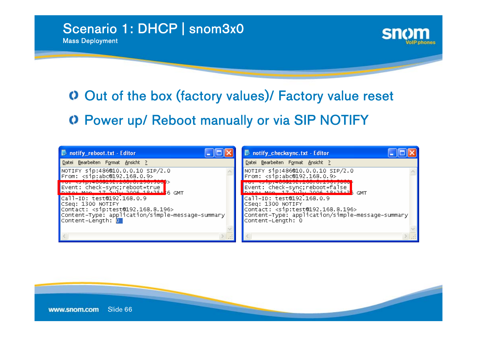# Out of the box (factory values)/ Factory value reset Power up/ Reboot manually or via SIP NOTIFY

| notify_reboot.txt - Editor                                                                                                                                                                       | notify_checksync.txt - Editor                                                                                                                                                           |  |
|--------------------------------------------------------------------------------------------------------------------------------------------------------------------------------------------------|-----------------------------------------------------------------------------------------------------------------------------------------------------------------------------------------|--|
| Datei Bearbeiten Format Ansicht ?                                                                                                                                                                | Datei Bearbeiten Format Ansicht ?                                                                                                                                                       |  |
| $\blacksquare$ NOTIFY sip:486@10.0.0.10 SIP/2.0<br>$\blacksquare$ From: <sip:abc@192.168.0.9></sip:abc@192.168.0.9>                                                                              | NOTIFY sip:486@10.0.0.10 SIP/2.0<br>From: <sip:abc@192.168.0.9></sip:abc@192.168.0.9>                                                                                                   |  |
| <u> Sergan personal de la contrata de la contrata de la contrata de la contrata de la contrata de la contrata de </u><br>Event: check-sync;reboot=true<br>  pate: Mon. 17 auly 2006 19:25: 6 GMT | Event: check-sync;reboot=false<br>enter Mon 17 July 2006 19:25:26 GMT                                                                                                                   |  |
| Call-ID: test@192.168.0.9<br>CSeq: 1300 NOTIFY<br>Contact: <sip:test@192.168.8.196><br/>Content-Type: application/simple-message-summary<br/>Content-Length: 0</sip:test@192.168.8.196>          | Call-ID: test@192.168.0.9<br>CSeq: 1300 NOTIFY<br>Contact: <sip:test@192.168.8.196><br/>Content-Type: application/simple-message-summary<br/>Content-Length: 0</sip:test@192.168.8.196> |  |
|                                                                                                                                                                                                  |                                                                                                                                                                                         |  |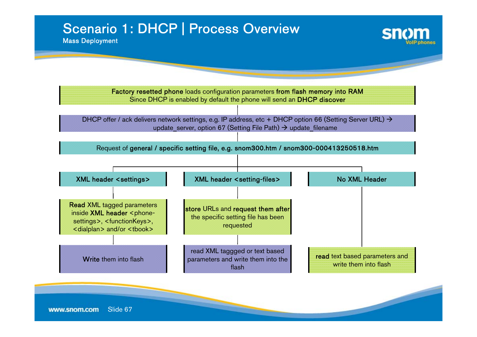## Scenario 1: DHCP | Process Overview

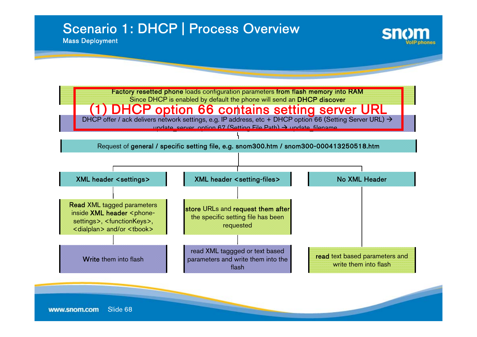## Scenario 1: DHCP | Process Overview

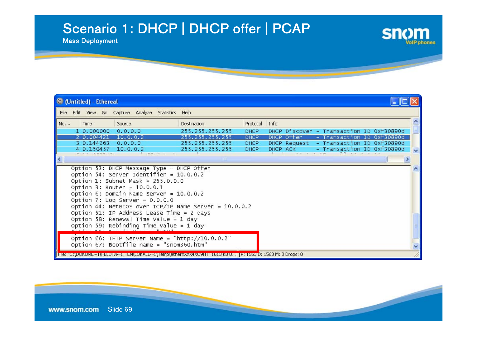## Scenario 1: DHCP | DHCP offer | PCAP

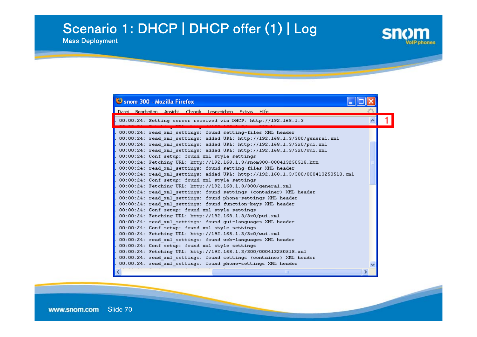## Scenario 1: DHCP | DHCP offer (1) | Log

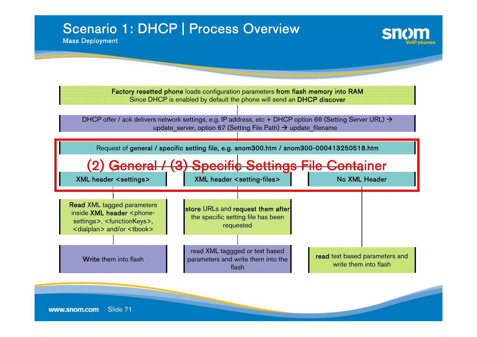## Scenario 1: DHCP | Process Overview

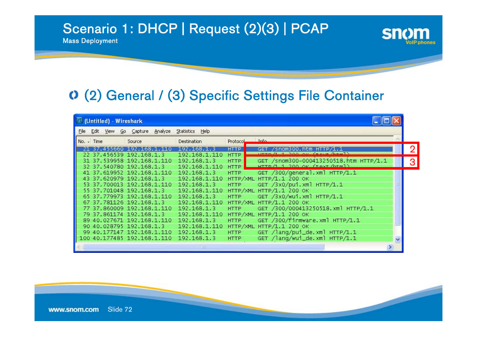## Scenario 1: DHCP | Request (2)(3) | PCAP

Mass Deployment

## (2) General / (3) Specific Settings File Container

|      |              | (Untitled) - Wireshark |                                                                                    |                            |                                |                            |                                                                    |   |   |
|------|--------------|------------------------|------------------------------------------------------------------------------------|----------------------------|--------------------------------|----------------------------|--------------------------------------------------------------------|---|---|
| File |              |                        | Edit View Go Capture                                                               | Analyze Statistics Help    |                                |                            |                                                                    |   |   |
|      | $No. - Time$ |                        | Source                                                                             | Destination                |                                | Protocol                   | <b>Info</b>                                                        |   |   |
|      |              |                        | 21 37.455660 192.168.1.110                                                         | 192.168.1.3                |                                | <b>HTTP</b>                | GET /snom300.htm HTTP/1.1<br>$700 \text{ AU}$ (that laten])        |   |   |
|      |              |                        | 22 37.456539 192.168.1.3<br>31 37.539958 192.168.1.110                             | 192.168.1.3                | 192.168.1.110                  | <b>HTTP</b><br><b>HTTP</b> | GET /snom300-000413250518.htm HTTP/1.1<br>HTTO/112000K (favt/htm1) |   | 3 |
|      |              |                        | 32 37.540780 192.168.1.3<br>41 37.619952 192.168.1.110<br>43 37.620979 192.168.1.3 | 192.168.1.3                | 192.168.1.110<br>192.168.1.110 | HTTP<br><b>HTTP</b>        | GET /300/general.xml HTTP/1.1<br>HTTP/XML HTTP/1.1 200 OK          |   |   |
|      |              |                        | 53 37.700013 192.168.1.110<br>55 37.701048 192.168.1.3                             | 192.168.1.3                | 192.168.1.110                  | <b>HTTP</b>                | GET /3x0/pui.xml HTTP/1.1<br>НТТР/XML НТТР/1.1 200 ОК              |   |   |
|      |              |                        | 65 37.779973 192.168.1.110<br>67 37.781126 192.168.1.3                             | 192.168.1.3                | 192.168.1.110                  | <b>HTTP</b>                | GET /3x0/wui.xml HTTP/1.1<br>HTTP/XML HTTP/1.1 200 OK              |   |   |
|      |              |                        | 77 37.860009 192.168.1.110<br>79 37.861174 192.168.1.3                             | 192.168.1.3                | 192.168.1.110                  | <b>HTTP</b>                | GET /300/000413250518.xml HTTP/1.1<br>HTTP/XML HTTP/1.1 200 OK     |   |   |
|      |              |                        | 89 40.027671 192.168.1.110<br>90 40.028795 192.168.1.3                             | 192.168.1.3                | 192.168.1.110                  | HTTP                       | GET /300/firmware.xml HTTP/1.1<br>HTTP/XML HTTP/1.1 200 OK         |   |   |
|      |              |                        | 99 40.177147 192.168.1.110<br>100 40.177485 192.168.1.110                          | 192.168.1.3<br>192.168.1.3 |                                | <b>HTTP</b><br><b>HTTP</b> | GET /lang/pui_de.xml HTTP/1.1<br>GET /lang/wui_de.xml HTTP/1.1     |   |   |
|      |              |                        |                                                                                    |                            | Ш                              |                            |                                                                    | v |   |

**Sn**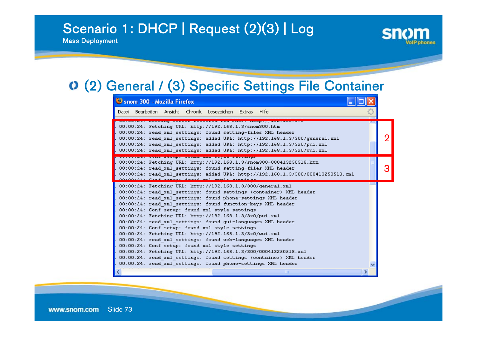# Scenario 1: DHCP | Request (2)(3) | Log

Mass Deployment



#### (2) General / (3) Specific Settings File Container

| Snom 300 - Mozilla Firefox                                                                                                                                                                                                                                                                                                                                                                                                                                                                                                                                                                                                                                                                                                                                                                                                                                                                |   |
|-------------------------------------------------------------------------------------------------------------------------------------------------------------------------------------------------------------------------------------------------------------------------------------------------------------------------------------------------------------------------------------------------------------------------------------------------------------------------------------------------------------------------------------------------------------------------------------------------------------------------------------------------------------------------------------------------------------------------------------------------------------------------------------------------------------------------------------------------------------------------------------------|---|
| <u>Datei Bearbeiten Ansicht Chronik Lesezeichen Extras Hilfe</u>                                                                                                                                                                                                                                                                                                                                                                                                                                                                                                                                                                                                                                                                                                                                                                                                                          |   |
| 00:00:24: Fetching URL: http://192.168.1.3/snom300.htm<br>00:00:24: read xml settings: found setting-files XML header<br>00:00:24: read xml settings: added URL: http://192.168.1.3/300/general.xml<br>00:00:24: read xml settings: added URL: http://192.168.1.3/3x0/pui.xml<br>00:00:24: read xml settings: added URL: http://192.168.1.3/3x0/wui.xml                                                                                                                                                                                                                                                                                                                                                                                                                                                                                                                                   | ŋ |
| <u> Concorner, Commission, Touma mai scyne scoolings</u><br>00:00:24: Fetching URL: http://192.168.1.3/snom300-000413250518.htm<br>00:00:24: read xml settings: found setting-files XML header<br>00:00:24: read xml settings: added URL: http://192.168.1.3/300/000413250518.xml                                                                                                                                                                                                                                                                                                                                                                                                                                                                                                                                                                                                         |   |
| 00:00:24: Fetching URL: http://192.168.1.3/300/general.xml<br>00:00:24: read xml settings: found settings (container) XML header<br>00:00:24: read xml settings: found phone-settings XML header<br>00:00:24: read xml settings: found function-keys XML header<br>00:00:24: Conf setup: found xml style settings<br>00:00:24: Fetching URL: http://192.168.1.3/3x0/pui.xml<br>00:00:24: read xml settings: found gui-languages XML header<br>00:00:24: Conf setup: found xml style settings<br>00:00:24: Fetching URL: http://192.168.1.3/3x0/wui.xml<br>00:00:24: read xml settings: found web-languages XML header<br>00:00:24: Conf setup: found xml style settings<br>00:00:24: Fetching URL: http://192.168.1.3/300/000413250518.xml<br>00:00:24: read xml settings: found settings (container) XML header<br>00:00:24: read xml settings: found phone-settings XML header<br>TILL. |   |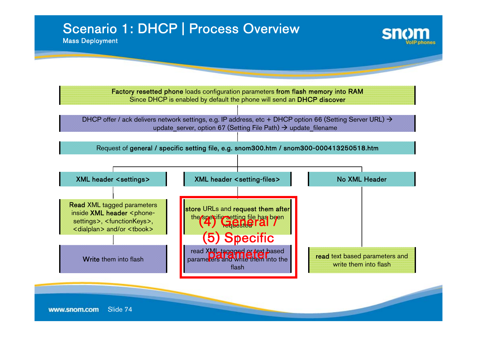# Scenario 1: DHCP | Process Overview

Mass Deployment

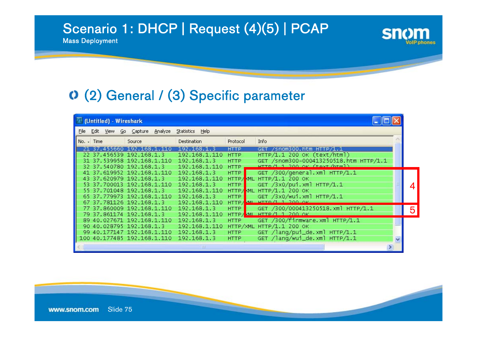# Scenario 1: DHCP | Request (4)(5) | PCAP

Mass Deployment

#### (2) General / (3) Specific parameter

|      |              | (Untitled) - Wireshark |                             |                                              |               |             |                                        |             |   |
|------|--------------|------------------------|-----------------------------|----------------------------------------------|---------------|-------------|----------------------------------------|-------------|---|
| File |              |                        |                             | Edit View Go Capture Analyze Statistics Help |               |             |                                        |             |   |
|      | $No. - Time$ |                        | Source                      | Destination                                  |               | Protocol    | Info                                   |             |   |
|      |              |                        | 21 37.455660 192.168.1.110  | 192.168.1.3                                  |               | <b>HTTP</b> | GET /snom300.htm HTTP/1.1              |             |   |
|      |              |                        | 22 37.456539 192.168.1.3    |                                              | 192.168.1.110 | <b>HTTP</b> | HTTP/1.1 200 OK (text/htm])            |             |   |
|      |              |                        | 31 37.539958 192.168.1.110  | 192.168.1.3                                  |               | <b>HTTP</b> | GET /snom300-000413250518.htm HTTP/1.1 |             |   |
|      |              |                        | 32 37.540780 192.168.1.3    |                                              | 192.168.1.110 | <b>HTTP</b> | HTTO/112000K (favt /htm1)              |             |   |
|      |              |                        | 41 37.619952 192.168.1.110  | 192.168.1.3                                  |               | <b>HTTP</b> | GET /300/general.xml HTTP/1.1          |             |   |
|      |              |                        | 43 37.620979 192.168.1.3    |                                              | 192.168.1.110 |             | $HTTP/ML$ HTTP $/1.1$ 200 OK           |             |   |
|      |              |                        | 53 37.700013 192.168.1.110  | 192.168.1.3                                  |               | <b>HTTP</b> | GET /3x0/pui.xml HTTP/1.1              |             | 4 |
|      |              |                        | 55 37.701048 192.168.1.3    |                                              | 192.168.1.110 |             | HTTP/ML HTTP/1.1 200 OK                |             |   |
|      |              |                        | 65 37.779973 192.168.1.110  | 192.168.1.3                                  |               | <b>HTTP</b> | GET /3x0/wui.xml HTTP/1.1              |             |   |
|      |              |                        | 67 37.781126 192.168.1.3    |                                              | 192.168.1.110 | HTTP/       | AM HTTD A 1 JOB ON                     |             |   |
|      |              |                        | 77 37.860009 192.168.1.110  | 192.168.1.3                                  |               | <b>HTTP</b> | GET /300/000413250518.xml HTTP/1.1     |             | 5 |
|      |              |                        | 79 37.861174 192.168.1.3    |                                              | 192.168.1.110 |             | НТТР/ МІ НТТР/1 1 200 ОК               |             |   |
|      |              |                        | 89 40.027671 192.168.1.110  | 192.168.1.3                                  |               | <b>HTTP</b> | GET /300/firmware.xml HTTP/1.1         |             |   |
|      |              |                        | 90 40.028795 192.168.1.3    |                                              | 192.168.1.110 |             | HTTP/XML HTTP/1.1 200 OK               |             |   |
|      |              |                        | 99 40.177147 192.168.1.110  | 192.168.1.3                                  |               | <b>HTTP</b> | GET /lang/pui_de.xml HTTP/1.1          |             |   |
|      |              |                        | 100 40.177485 192.168.1.110 | 192.168.1.3                                  |               | <b>HTTP</b> | GET /lang/wui_de.xml HTTP/1.1          | $\ddotmark$ |   |
|      |              |                        |                             |                                              |               |             |                                        |             |   |

**Sn**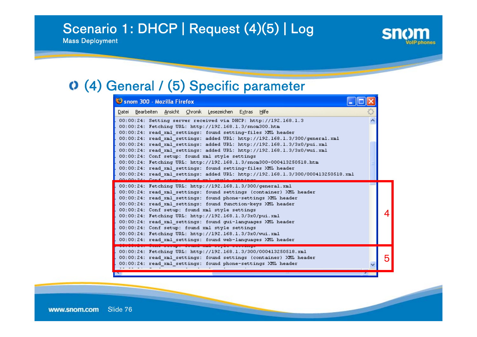# Scenario 1: DHCP | Request (4)(5) | Log

Mass Deployment



#### (4) General / (5) Specific parameter

| Snom 300 - Mozilla Firefox                                                                                            |            |  |
|-----------------------------------------------------------------------------------------------------------------------|------------|--|
| Datei Bearbeiten Ansicht Chronik Lesezeichen Extras Hilfe                                                             |            |  |
| 00:00:24: Setting server received via DHCP: http://192.168.1.3                                                        |            |  |
| 00:00:24: Fetching URL: http://192.168.1.3/snom300.htm                                                                |            |  |
| 00:00:24: read xml settings: found setting-files XML header                                                           |            |  |
| 00:00:24: read xml settings: added URL: http://192.168.1.3/300/general.xml                                            |            |  |
| 00:00:24: read xml settings: added URL: http://192.168.1.3/3x0/pui.xml                                                |            |  |
| 00:00:24: read xml settings: added URL: http://192.168.1.3/3x0/wui.xml                                                |            |  |
| 00:00:24: Conf setup: found xml style settings<br>00:00:24: Fetching URL: http://192.168.1.3/snom300-000413250518.htm |            |  |
| 00:00:24: read xml settings: found setting-files XML header                                                           |            |  |
| 00:00:24: read xml settings: added URL: http://192.168.1.3/300/000413250518.xml                                       |            |  |
| 24. Canf cattle found unl                                                                                             |            |  |
| 00:00:24: Fetching URL: http://192.168.1.3/300/general.xml                                                            |            |  |
| 00:00:24: read xml settings: found settings (container) XML header                                                    |            |  |
| 00:00:24: read xml settings: found phone-settings XML header                                                          |            |  |
| 00:00:24: read xml settings: found function-keys XML header                                                           |            |  |
| 00:00:24: Conf setup: found xml style settings                                                                        |            |  |
| 00:00:24: Fetching URL: http://192.168.1.3/3x0/pui.xml                                                                |            |  |
| 00:00:24: read xml settings: found qui-languages XML header                                                           |            |  |
| 00:00:24: Conf setup: found xml style settings                                                                        |            |  |
| 00:00:24: Fetching URL: http://192.168.1.3/3x0/wui.xml                                                                |            |  |
| 00:00:24: read xml settings: found web-languages XML header                                                           |            |  |
| 00:00:24: Fetching URL: http://192.168.1.3/300/000413250518.xml                                                       |            |  |
| 00:00:24: read xml settings: found settings (container) XML header                                                    |            |  |
| 00:00:24: read xml settings: found phone-settings XML header                                                          |            |  |
|                                                                                                                       |            |  |
| <b>P</b>                                                                                                              | <b>TAG</b> |  |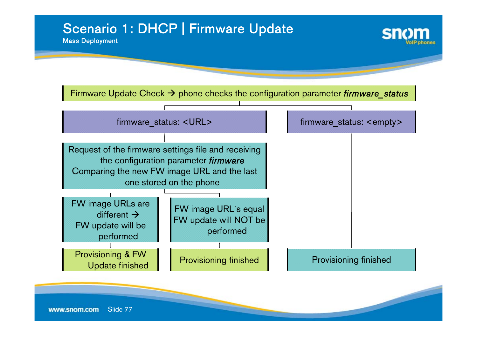# Scenario 1: DHCP | Firmware Update

Mass Deployment



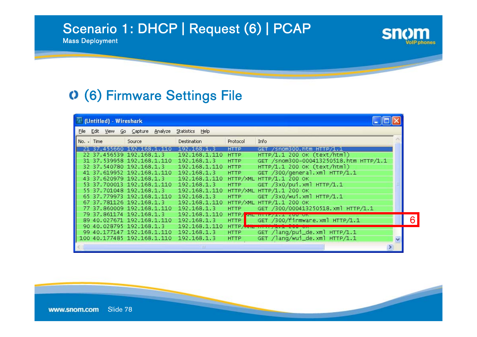# Scenario 1: DHCP | Request (6) | PCAP

Mass Deployment

### (6) Firmware Settings File

| (Untitled) - Wireshark |              |  |                             |  |                         |             |                                        |   |  |
|------------------------|--------------|--|-----------------------------|--|-------------------------|-------------|----------------------------------------|---|--|
| File                   |              |  | Edit View Go Capture        |  | Analyze Statistics Help |             |                                        |   |  |
|                        | $No. - Time$ |  | Source                      |  | Destination             | Protocol    | Info                                   |   |  |
|                        |              |  | 21 37.455660 192.168.1.110  |  | 192.168.1.3             | <b>HTTP</b> | GET /snom300.htm HTTP/1.1              |   |  |
|                        |              |  | 22 37.456539 192.168.1.3    |  | 192.168.1.110           | <b>HTTP</b> | HTTP/1.1 200 OK (text/html)            |   |  |
|                        |              |  | 31 37.539958 192.168.1.110  |  | 192.168.1.3             | <b>HTTP</b> | GET /snom300-000413250518.htm HTTP/1.1 |   |  |
|                        |              |  | 32 37.540780 192.168.1.3    |  | 192.168.1.110           | <b>HTTP</b> | HTTP/1.1 200 OK (text/html)            |   |  |
|                        |              |  | 41 37.619952 192.168.1.110  |  | 192.168.1.3             | <b>HTTP</b> | GET /300/general.xml HTTP/1.1          |   |  |
|                        |              |  | 43 37.620979 192.168.1.3    |  | 192.168.1.110           |             | НТТР/XML НТТР/1.1 200 ОК               |   |  |
|                        |              |  | 53 37.700013 192.168.1.110  |  | 192.168.1.3             | <b>HTTP</b> | GET /3x0/pui.xml HTTP/1.1              |   |  |
|                        |              |  | 55 37.701048 192.168.1.3    |  | 192.168.1.110           |             | НТТР/XML НТТР/1.1 200 ОК               |   |  |
|                        |              |  | 65 37.779973 192.168.1.110  |  | 192.168.1.3             | <b>HTTP</b> | GET /3x0/wui.xml HTTP/1.1              |   |  |
|                        |              |  | 67 37.781126 192.168.1.3    |  | 192.168.1.110           |             | HTTP/XML HTTP/1.1 200 OK               |   |  |
|                        |              |  | 77 37.860009 192.168.1.110  |  | 192.168.1.3             | <b>HTTP</b> | GET /300/000413250518.xml HTTP/1.1     |   |  |
|                        |              |  | 79 37.861174 192.168.1.3    |  | 192.168.1.110           |             | HTTP/ part in the second case on       |   |  |
|                        |              |  | 89 40.027671 192.168.1.110  |  | 192.168.1.3             | <b>HTTP</b> | GET /300/firmware.xml HTTP/1.1         |   |  |
|                        |              |  | 90 40.028795 192.168.1.3    |  | 192.168.1.110           |             | HTTP A THE THREE ALL                   |   |  |
|                        |              |  | 99 40.177147 192.168.1.110  |  | 192.168.1.3             | <b>HTTP</b> | GET /lang/pui_de.xml HTTP/1.1          |   |  |
|                        |              |  | 100 40.177485 192.168.1.110 |  | 192.168.1.3             | <b>HTTP</b> | GET /lang/wui_de.xml HTTP/1.1          | v |  |
|                        |              |  |                             |  | Ш                       |             |                                        |   |  |

**snom**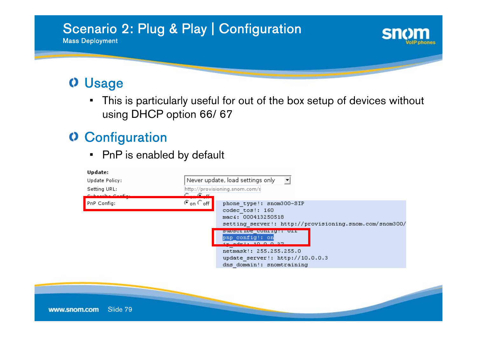

#### **O** Usage

• This is particularly useful for out of the box setup of devices without using DHCP option 66/ 67

# **O** Configuration

• PnP is enabled by default

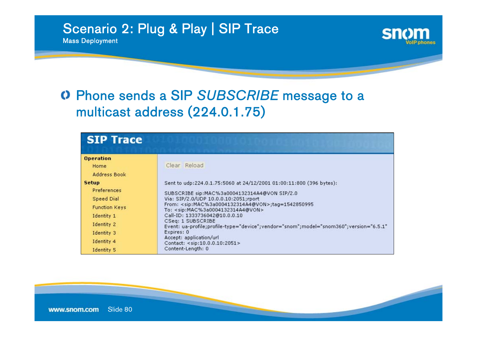Mass Deployment

## Phone sends a SIP *SUBSCRIBE* message to a multicast address (224.0.1.75)

| <b>SIP Trace</b>                                                                                                                        |                                                                                                                                                                                                                                                                                                                                                                                                                                                                                                                                                                                            |
|-----------------------------------------------------------------------------------------------------------------------------------------|--------------------------------------------------------------------------------------------------------------------------------------------------------------------------------------------------------------------------------------------------------------------------------------------------------------------------------------------------------------------------------------------------------------------------------------------------------------------------------------------------------------------------------------------------------------------------------------------|
| <b>Operation</b><br>Home<br>Address Book                                                                                                | Clear Reload                                                                                                                                                                                                                                                                                                                                                                                                                                                                                                                                                                               |
| <b>Setup</b><br>Preferences<br>Speed Dial<br><b>Function Keys</b><br>Identity 1<br>Identity 2<br>Identity 3<br>Identity 4<br>Identity 5 | Sent to udp:224.0.1.75:5060 at 24/12/2001 01:00:11:800 (396 bytes):<br>SUBSCRIBE sip:MAC%3a0004132314A4@VON SIP/2.0<br>Via: SIP/2.0/UDP 10.0.0.10:2051;rport<br>From: <sip:mac%3a0004132314a4@von>;tag=1542850995<br/>To: <sip:mac%3a0004132314a4@von><br/>Call-ID: 1333736042@10.0.0.10<br/>CSeq: 1 SUBSCRIBE<br/>Event: ua-profile;profile-type="device";vendor="snom";model="snom360";version="6.5.1"<br/>Expires: 0<br/>Accept: application/url<br/>Contact: <sip:10.0.0.10:2051><br/>Content-Length: 0</sip:10.0.0.10:2051></sip:mac%3a0004132314a4@von></sip:mac%3a0004132314a4@von> |

Sh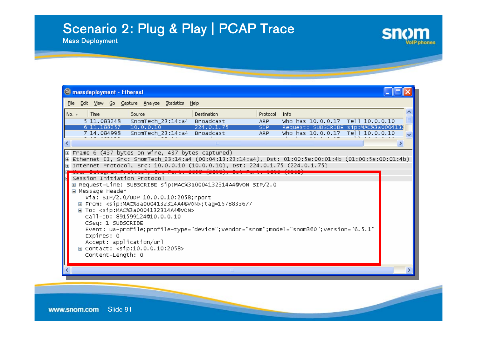# Scenario 2: Plug & Play | PCAP Trace

Mass Deployment

|         | C mass deployment - Ethereal                                                                                                       |                                                                                                                                                                                                                                                                                                                                                                                                                                                                                                                                                                                                |                                                    |                                               |      |                                                                                                              |  |
|---------|------------------------------------------------------------------------------------------------------------------------------------|------------------------------------------------------------------------------------------------------------------------------------------------------------------------------------------------------------------------------------------------------------------------------------------------------------------------------------------------------------------------------------------------------------------------------------------------------------------------------------------------------------------------------------------------------------------------------------------------|----------------------------------------------------|-----------------------------------------------|------|--------------------------------------------------------------------------------------------------------------|--|
| File    |                                                                                                                                    | Edit View Go Capture Analyze Statistics Help                                                                                                                                                                                                                                                                                                                                                                                                                                                                                                                                                   |                                                    |                                               |      |                                                                                                              |  |
| $No. -$ | Time<br>5 11.083248<br>6 11.188257 10.0.0.10                                                                                       | Source<br>SnomTech_23:14:a4 Broadcast<br>$\boxed{\pm}$ Frame 6 (437 bytes on wire, 437 bytes captured)<br>Ethernet II, Src: SnomTech_23:14:a4 (00:04:13:23:14:a4), Dst: 01:00:5e:00:01:4b (01:00:5e:00:01:4b)                                                                                                                                                                                                                                                                                                                                                                                  | <b>Destination</b><br>224.0.1.75<br>$\blacksquare$ | Protocol  <br>ARP.<br>SIP <sub></sub><br>ARP. | Info | who has 10.0.0.1? Tell 10.0.0.10<br>Request: SUBSCRIBE sip:MAC%3a0004132<br>who has 10.0.0.1? Tell 10.0.0.10 |  |
|         | Session Initiation Protocol<br>□ Message Header<br>CSeq: 1 SUBSCRIBE<br>Expires: 0<br>Accept: application/url<br>Content-Length: 0 | ⊞ Internet Protocol, Src: 10.0.0.10 (10.0.0.10), Dst: 224.0.1.75 (224.0.1.75)<br><u> Coch patagram in Ctoton, dri norti evic (evic),</u><br>E Request-Line: SUBSCRIBE sip:MAC%3a0004132314A4@VON SIP/2.0<br>Via: SIP/2.0/UDP 10.0.0.10:2058; rport<br>⊞ From: <sip:mac%3a0004132314a4@von>;tag=1578833677<br/>H To: <sip:mac%3a0004132314a4@von><br/>Call-ID: 891599124@10.0.0.10<br/>Event: ua-profile;profile-type="device";vendor="snom";model="snom360";version="6.5.1"<br/>⊞ Contact: <sip:10.0.0.10:2058></sip:10.0.0.10:2058></sip:mac%3a0004132314a4@von></sip:mac%3a0004132314a4@von> |                                                    |                                               |      |                                                                                                              |  |
|         |                                                                                                                                    |                                                                                                                                                                                                                                                                                                                                                                                                                                                                                                                                                                                                | $\mathbf{m}$                                       |                                               |      |                                                                                                              |  |

**snom** 

**olP** phones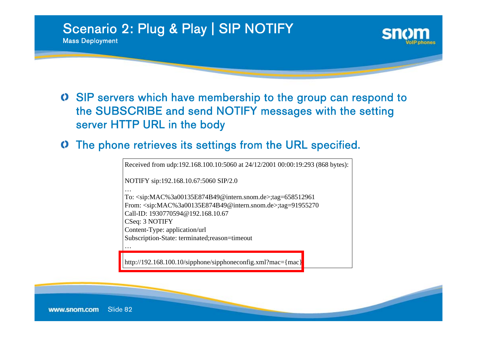

Mass Deployment



SIP servers which have membership to the group can respond to the SUBSCRIBE and send NOTIFY messages with the setting server HTTP URL in the body

#### The phone retrieves its settings from the URL specified. O

Received from udp:192.168.100.10:5060 at 24/12/2001 00:00:19:293 (868 bytes):

NOTIFY sip:192.168.10.67:5060 SIP/2.0

To: <sip:MAC%3a00135E874B49@intern.snom.de>;tag=658512961 From: <sip:MAC%3a00135E874B49@intern.snom.de>;tag=91955270 Call-ID: 1930770594@192.168.10.67CSeq: 3 NOTIFY Content-Type: application/url Subscription-State: terminated;reason=timeout

…

…

http://192.168.100.10/sipphone/sipphoneconfig.xml?mac={mac}}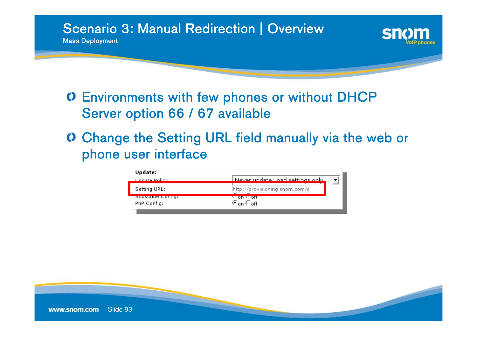Scenario 3: Manual Redirection | Overview

Mass Deployment

# Environments with few phones or without DHCP Server option 66 / 67 available

Change the Setting URL field manually via the web or phone user interface

| Update:                                |                                                 |
|----------------------------------------|-------------------------------------------------|
| Hodate Policy:                         | Never undate load settings only                 |
| Setting URL:                           | http://provisioning.snom.com/s                  |
| <b>Supscripe Cound!</b><br>PnP Config: | $on + on$<br>$\mathcal{F}$ on $\mathcal{F}$ off |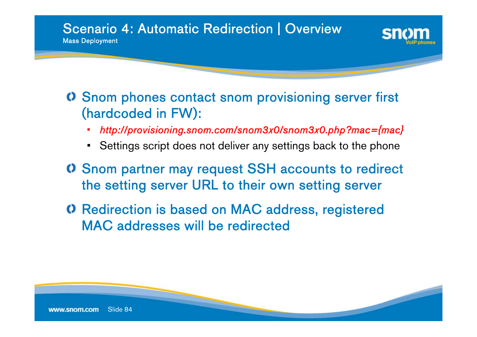



- •*http://provisioning.snom.com/snom3x0/snom3x0.php?mac={mac}*
- Settings script does not deliver any settings back to the phone
- Snom partner may request SSH accounts to redirect the setting server URL to their own setting server
- Redirection is based on MAC address, registered MAC addresses will be redirected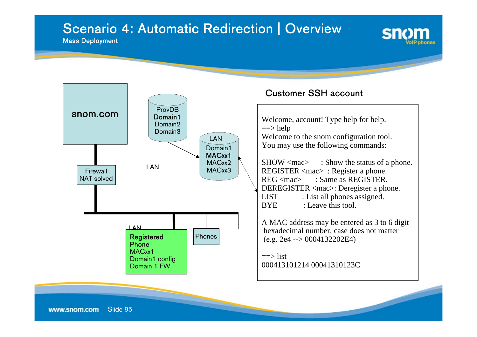## Scenario 4: Automatic Redirection | Overview

#### Mass Deployment